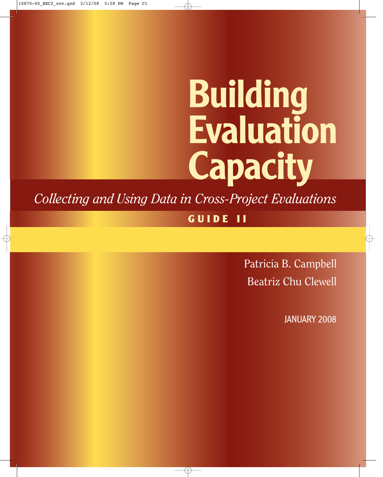# **Building Evaluation Capacity**

*Collecting and Using Data in Cross-Project Evaluations*

**GUIDE II**

Patricia B. Campbell Beatriz Chu Clewell

JANUARY 2008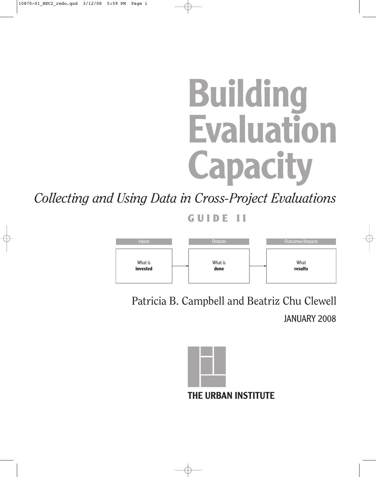# **Building Evaluation Capacity**

*Collecting and Using Data in Cross-Project Evaluations*

**GUIDE II**



Patricia B. Campbell and Beatriz Chu Clewell JANUARY 2008

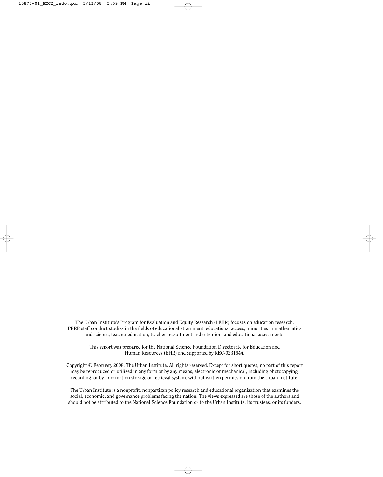The Urban Institute's Program for Evaluation and Equity Research (PEER) focuses on education research. PEER staff conduct studies in the fields of educational attainment, educational access, minorities in mathematics and science, teacher education, teacher recruitment and retention, and educational assessments.

This report was prepared for the National Science Foundation Directorate for Education and Human Resources (EHR) and supported by REC-0231644.

Copyright © February 2008. The Urban Institute. All rights reserved. Except for short quotes, no part of this report may be reproduced or utilized in any form or by any means, electronic or mechanical, including photocopying, recording, or by information storage or retrieval system, without written permission from the Urban Institute.

The Urban Institute is a nonprofit, nonpartisan policy research and educational organization that examines the social, economic, and governance problems facing the nation. The views expressed are those of the authors and should not be attributed to the National Science Foundation or to the Urban Institute, its trustees, or its funders.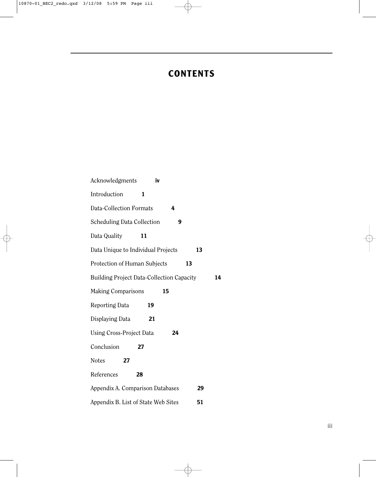# **CONTENTS**

| Acknowledgments                                  | iv |    |    |    |
|--------------------------------------------------|----|----|----|----|
| Introduction                                     | 1  |    |    |    |
| <b>Data-Collection Formats</b>                   |    | 4  |    |    |
| <b>Scheduling Data Collection</b>                |    | 9  |    |    |
| Data Quality                                     | 11 |    |    |    |
| Data Unique to Individual Projects               |    |    | 13 |    |
| Protection of Human Subjects                     |    | 13 |    |    |
| <b>Building Project Data-Collection Capacity</b> |    |    |    | 14 |
| <b>Making Comparisons</b>                        | 15 |    |    |    |
| Reporting Data                                   | 19 |    |    |    |
| Displaying Data                                  | 21 |    |    |    |
| Using Cross-Project Data                         |    | 24 |    |    |
| Conclusion                                       | 27 |    |    |    |
| Notes<br>27                                      |    |    |    |    |
| References                                       | 28 |    |    |    |
| Appendix A. Comparison Databases                 |    |    | 29 |    |
| Appendix B. List of State Web Sites              |    |    | 51 |    |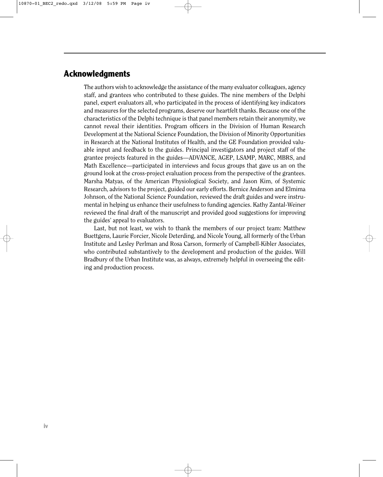## **Acknowledgments**

The authors wish to acknowledge the assistance of the many evaluator colleagues, agency staff, and grantees who contributed to these guides. The nine members of the Delphi panel, expert evaluators all, who participated in the process of identifying key indicators and measures for the selected programs, deserve our heartfelt thanks. Because one of the characteristics of the Delphi technique is that panel members retain their anonymity, we cannot reveal their identities. Program officers in the Division of Human Research Development at the National Science Foundation, the Division of Minority Opportunities in Research at the National Institutes of Health, and the GE Foundation provided valuable input and feedback to the guides. Principal investigators and project staff of the grantee projects featured in the guides—ADVANCE, AGEP, LSAMP, MARC, MBRS, and Math Excellence—participated in interviews and focus groups that gave us an on the ground look at the cross-project evaluation process from the perspective of the grantees. Marsha Matyas, of the American Physiological Society, and Jason Kim, of Systemic Research, advisors to the project, guided our early efforts. Bernice Anderson and Elmima Johnson, of the National Science Foundation, reviewed the draft guides and were instrumental in helping us enhance their usefulness to funding agencies. Kathy Zantal-Weiner reviewed the final draft of the manuscript and provided good suggestions for improving the guides' appeal to evaluators.

Last, but not least, we wish to thank the members of our project team: Matthew Buettgens, Laurie Forcier, Nicole Deterding, and Nicole Young, all formerly of the Urban Institute and Lesley Perlman and Rosa Carson, formerly of Campbell-Kibler Associates, who contributed substantively to the development and production of the guides. Will Bradbury of the Urban Institute was, as always, extremely helpful in overseeing the editing and production process.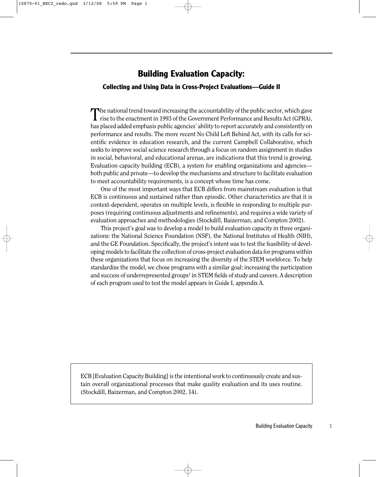## **Building Evaluation Capacity:**

#### **Collecting and Using Data in Cross-Project Evaluations—Guide II**

The national trend toward increasing the accountability of the public sector, which gave rise to the enactment in 1993 of the Government Performance and Results Act (GPRA), has placed added emphasis public agencies' ability to report accurately and consistently on performance and results. The more recent No Child Left Behind Act, with its calls for scientific evidence in education research, and the current Campbell Collaborative, which seeks to improve social science research through a focus on random assignment in studies in social, behavioral, and educational arenas, are indications that this trend is growing. Evaluation capacity building (ECB), a system for enabling organizations and agencies both public and private—to develop the mechanisms and structure to facilitate evaluation to meet accountability requirements, is a concept whose time has come.

One of the most important ways that ECB differs from mainstream evaluation is that ECB is continuous and sustained rather than episodic. Other characteristics are that it is context-dependent, operates on multiple levels, is flexible in responding to multiple purposes (requiring continuous adjustments and refinements), and requires a wide variety of evaluation approaches and methodologies (Stockdill, Baizerman, and Compton 2002).

This project's goal was to develop a model to build evaluation capacity in three organizations: the National Science Foundation (NSF), the National Institutes of Health (NIH), and the GE Foundation. Specifically, the project's intent was to test the feasibility of developing models to facilitate the collection of cross-project evaluation data for programs within these organizations that focus on increasing the diversity of the STEM workforce. To help standardize the model, we chose programs with a similar goal: increasing the participation and success of underrepresented groups<sup>1</sup> in STEM fields of study and careers. A description of each program used to test the model appears in Guide I, appendix A.

ECB [Evaluation Capacity Building] is the intentional work to continuously create and sustain overall organizational processes that make quality evaluation and its uses routine. (Stockdill, Baizerman, and Compton 2002, 14).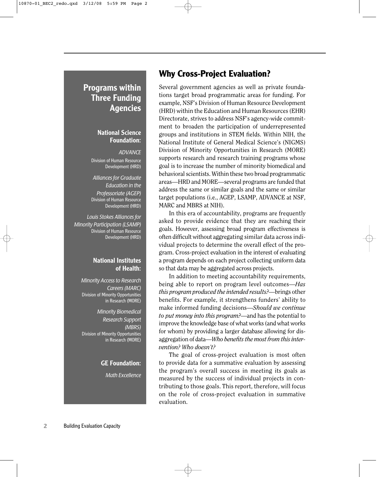# **Programs within Three Funding Agencies**

#### **National Science Foundation:**

*ADVANCE* Division of Human Resource Development (HRD)

*Alliances for Graduate Education in the Professoriate (AGEP)* Division of Human Resource Development (HRD)

*Louis Stokes Alliances for Minority Participation (LSAMP)* Division of Human Resource Development (HRD)

#### **National Institutes of Health:**

*Minority Access to Research Careers (MARC)* Division of Minority Opportunities in Research (MORE)

*Minority Biomedical Research Support (MBRS)* Division of Minority Opportunities in Research (MORE)

#### **GE Foundation:**

*Math Excellence*

## **Why Cross-Project Evaluation?**

Several government agencies as well as private foundations target broad programmatic areas for funding. For example, NSF's Division of Human Resource Development (HRD) within the Education and Human Resources (EHR) Directorate, strives to address NSF's agency-wide commitment to broaden the participation of underrepresented groups and institutions in STEM fields. Within NIH, the National Institute of General Medical Science's (NIGMS) Division of Minority Opportunities in Research (MORE) supports research and research training programs whose goal is to increase the number of minority biomedical and behavioral scientists. Within these two broad programmatic areas—HRD and MORE—several programs are funded that address the same or similar goals and the same or similar target populations (i.e., AGEP, LSAMP, ADVANCE at NSF, MARC and MBRS at NIH).

In this era of accountability, programs are frequently asked to provide evidence that they are reaching their goals. However, assessing broad program effectiveness is often difficult without aggregating similar data across individual projects to determine the overall effect of the program. Cross-project evaluation in the interest of evaluating a program depends on each project collecting uniform data so that data may be aggregated across projects.

In addition to meeting accountability requirements, being able to report on program level outcomes—*Has this program produced the intended results?*—brings other benefits. For example, it strengthens funders' ability to make informed funding decisions—*Should we continue to put money into this program?*—and has the potential to improve the knowledge base of what works (and what works for whom) by providing a larger database allowing for disaggregation of data—*Who benefits the most from this intervention? Who doesn't?*

The goal of cross-project evaluation is most often to provide data for a summative evaluation by assessing the program's overall success in meeting its goals as measured by the success of individual projects in contributing to those goals. This report, therefore, will focus on the role of cross-project evaluation in summative evaluation.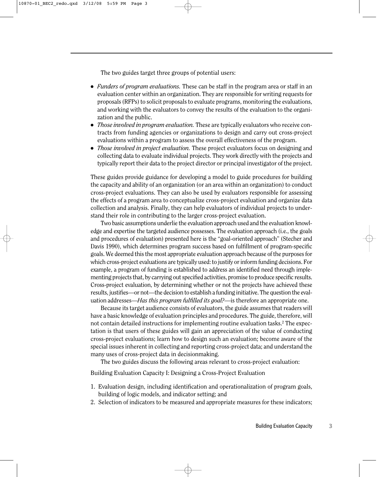The two guides target three groups of potential users:

- *Funders of program evaluations.* These can be staff in the program area or staff in an evaluation center within an organization. They are responsible for writing requests for proposals (RFPs) to solicit proposals to evaluate programs, monitoring the evaluations, and working with the evaluators to convey the results of the evaluation to the organization and the public.
- *Those involved in program evaluation.* These are typically evaluators who receive contracts from funding agencies or organizations to design and carry out cross-project evaluations within a program to assess the overall effectiveness of the program.
- *Those involved in project evaluation.* These project evaluators focus on designing and collecting data to evaluate individual projects. They work directly with the projects and typically report their data to the project director or principal investigator of the project.

These guides provide guidance for developing a model to guide procedures for building the capacity and ability of an organization (or an area within an organization) to conduct cross-project evaluations. They can also be used by evaluators responsible for assessing the effects of a program area to conceptualize cross-project evaluation and organize data collection and analysis. Finally, they can help evaluators of individual projects to understand their role in contributing to the larger cross-project evaluation.

Two basic assumptions underlie the evaluation approach used and the evaluation knowledge and expertise the targeted audience possesses. The evaluation approach (i.e., the goals and procedures of evaluation) presented here is the "goal-oriented approach" (Stecher and Davis 1990), which determines program success based on fulfillment of program-specific goals. We deemed this the most appropriate evaluation approach because of the purposes for which cross-project evaluations are typically used: to justify or inform funding decisions. For example, a program of funding is established to address an identified need through implementing projects that, by carrying out specified activities, promise to produce specific results. Cross-project evaluation, by determining whether or not the projects have achieved these results, justifies—or not—the decision to establish a funding initiative. The question the evaluation addresses—*Has this program fulfilled its goal?*—is therefore an appropriate one.

Because its target audience consists of evaluators, the guide assumes that readers will have a basic knowledge of evaluation principles and procedures. The guide, therefore, will not contain detailed instructions for implementing routine evaluation tasks.2 The expectation is that users of these guides will gain an appreciation of the value of conducting cross-project evaluations; learn how to design such an evaluation; become aware of the special issues inherent in collecting and reporting cross-project data; and understand the many uses of cross-project data in decisionmaking.

The two guides discuss the following areas relevant to cross-project evaluation:

Building Evaluation Capacity I: Designing a Cross-Project Evaluation

- 1. Evaluation design, including identification and operationalization of program goals, building of logic models, and indicator setting; and
- 2. Selection of indicators to be measured and appropriate measures for these indicators;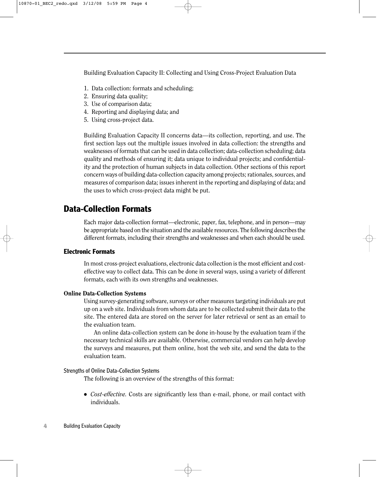Building Evaluation Capacity II: Collecting and Using Cross-Project Evaluation Data

- 1. Data collection: formats and scheduling;
- 2. Ensuring data quality;
- 3. Use of comparison data;
- 4. Reporting and displaying data; and
- 5. Using cross-project data.

Building Evaluation Capacity II concerns data—its collection, reporting, and use. The first section lays out the multiple issues involved in data collection: the strengths and weaknesses of formats that can be used in data collection; data-collection scheduling; data quality and methods of ensuring it; data unique to individual projects; and confidentiality and the protection of human subjects in data collection. Other sections of this report concern ways of building data-collection capacity among projects; rationales, sources, and measures of comparison data; issues inherent in the reporting and displaying of data; and the uses to which cross-project data might be put.

# **Data-Collection Formats**

Each major data-collection format—electronic, paper, fax, telephone, and in person—may be appropriate based on the situation and the available resources. The following describes the different formats, including their strengths and weaknesses and when each should be used.

#### **Electronic Formats**

In most cross-project evaluations, electronic data collection is the most efficient and costeffective way to collect data. This can be done in several ways, using a variety of different formats, each with its own strengths and weaknesses.

#### Online Data-Collection Systems

Using survey-generating software, surveys or other measures targeting individuals are put up on a web site. Individuals from whom data are to be collected submit their data to the site. The entered data are stored on the server for later retrieval or sent as an email to the evaluation team.

An online data-collection system can be done in-house by the evaluation team if the necessary technical skills are available. Otherwise, commercial vendors can help develop the surveys and measures, put them online, host the web site, and send the data to the evaluation team.

#### Strengths of Online Data-Collection Systems

The following is an overview of the strengths of this format:

● *Cost-effective.* Costs are significantly less than e-mail, phone, or mail contact with individuals.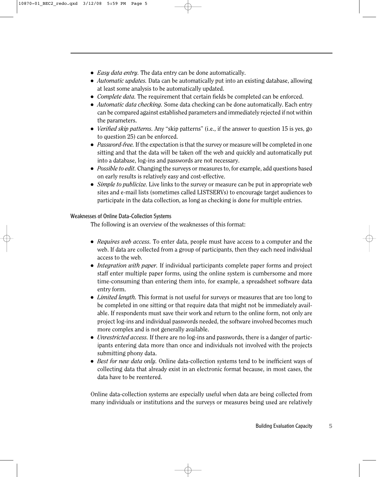- *Easy data entry*. The data entry can be done automatically.
- *Automatic updates.* Data can be automatically put into an existing database, allowing at least some analysis to be automatically updated.
- *Complete data.* The requirement that certain fields be completed can be enforced.
- *Automatic data checking.* Some data checking can be done automatically. Each entry can be compared against established parameters and immediately rejected if not within the parameters.
- *Verified skip patterns.* Any "skip patterns" (i.e., if the answer to question 15 is yes, go to question 25) can be enforced.
- *Password-free.* If the expectation is that the survey or measure will be completed in one sitting and that the data will be taken off the web and quickly and automatically put into a database, log-ins and passwords are not necessary.
- *Possible to edit.* Changing the surveys or measures to, for example, add questions based on early results is relatively easy and cost-effective.
- *Simple to publicize.* Live links to the survey or measure can be put in appropriate web sites and e-mail lists (sometimes called LISTSERVs) to encourage target audiences to participate in the data collection, as long as checking is done for multiple entries.

#### Weaknesses of Online Data-Collection Systems

The following is an overview of the weaknesses of this format:

- *Requires web access.* To enter data, people must have access to a computer and the web. If data are collected from a group of participants, then they each need individual access to the web.
- *Integration with paper*. If individual participants complete paper forms and project staff enter multiple paper forms, using the online system is cumbersome and more time-consuming than entering them into, for example, a spreadsheet software data entry form.
- *Limited length*. This format is not useful for surveys or measures that are too long to be completed in one sitting or that require data that might not be immediately available. If respondents must save their work and return to the online form, not only are project log-ins and individual passwords needed, the software involved becomes much more complex and is not generally available.
- *Unrestricted access.* If there are no log-ins and passwords, there is a danger of participants entering data more than once and individuals not involved with the projects submitting phony data.
- *Best for new data only.* Online data-collection systems tend to be inefficient ways of collecting data that already exist in an electronic format because, in most cases, the data have to be reentered.

Online data-collection systems are especially useful when data are being collected from many individuals or institutions and the surveys or measures being used are relatively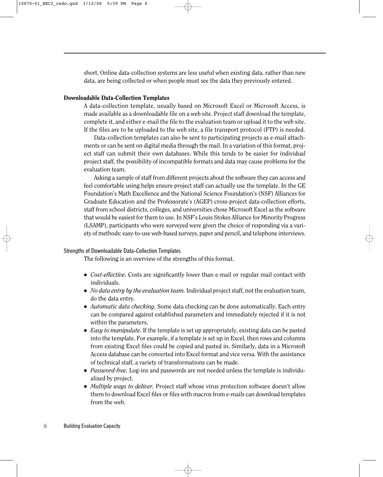short. Online data-collection systems are less useful when existing data, rather than new data, are being collected or when people must see the data they previously entered.

#### Downloadable Data-Collection Templates

A data-collection template, usually based on Microsoft Excel or Microsoft Access, is made available as a downloadable file on a web site. Project staff download the template, complete it, and either e-mail the file to the evaluation team or upload it to the web site. If the files are to be uploaded to the web site, a file transport protocol (FTP) is needed.

Data-collection templates can also be sent to participating projects as e-mail attachments or can be sent on digital media through the mail. In a variation of this format, project staff can submit their own databases. While this tends to be easier for individual project staff, the possibility of incompatible formats and data may cause problems for the evaluation team.

Asking a sample of staff from different projects about the software they can access and feel comfortable using helps ensure project staff can actually use the template. In the GE Foundation's Math Excellence and the National Science Foundation's (NSF) Alliances for Graduate Education and the Professorate's (AGEP) cross-project data-collection efforts, staff from school districts, colleges, and universities chose Microsoft Excel as the software that would be easiest for them to use. In NSF's Louis Stokes Alliance for Minority Progress (LSAMP), participants who were surveyed were given the choice of responding via a variety of methods: easy-to-use web-based surveys, paper and pencil, and telephone interviews.

#### Strengths of Downloadable Data-Collection Templates

The following is an overview of the strengths of this format.

- *Cost-effective*. Costs are significantly lower than e-mail or regular mail contact with individuals.
- *No data entry by the evaluation team.* Individual project staff, not the evaluation team, do the data entry.
- *Automatic data checking.* Some data checking can be done automatically. Each entry can be compared against established parameters and immediately rejected if it is not within the parameters.
- *Easy to manipulate.* If the template is set up appropriately, existing data can be pasted into the template. For example, if a template is set up in Excel, then rows and columns from existing Excel files could be copied and pasted in. Similarly, data in a Microsoft Access database can be converted into Excel format and vice versa. With the assistance of technical staff, a variety of transformations can be made.
- *Password-free.* Log-ins and passwords are not needed unless the template is individualized by project.
- *Multiple ways to deliver*. Project staff whose virus protection software doesn't allow them to download Excel files or files with macros from e-mails can download templates from the web.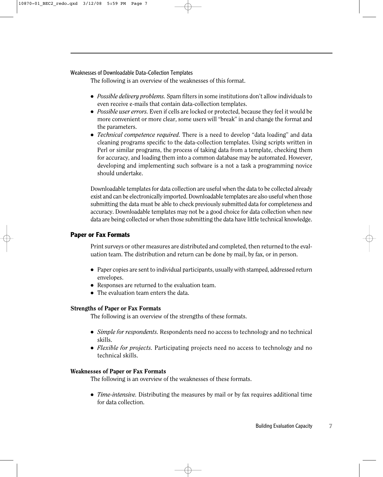#### Weaknesses of Downloadable Data-Collection Templates

The following is an overview of the weaknesses of this format.

- *Possible delivery problems.* Spam filters in some institutions don't allow individuals to even receive e-mails that contain data-collection templates.
- *Possible user errors.* Even if cells are locked or protected, because they feel it would be more convenient or more clear, some users will "break" in and change the format and the parameters.
- *Technical competence required.* There is a need to develop "data loading" and data cleaning programs specific to the data-collection templates. Using scripts written in Perl or similar programs, the process of taking data from a template, checking them for accuracy, and loading them into a common database may be automated. However, developing and implementing such software is a not a task a programming novice should undertake.

Downloadable templates for data collection are useful when the data to be collected already exist and can be electronically imported. Downloadable templates are also useful when those submitting the data must be able to check previously submitted data for completeness and accuracy. Downloadable templates may not be a good choice for data collection when new data are being collected or when those submitting the data have little technical knowledge.

#### **Paper or Fax Formats**

Print surveys or other measures are distributed and completed, then returned to the evaluation team. The distribution and return can be done by mail, by fax, or in person.

- Paper copies are sent to individual participants, usually with stamped, addressed return envelopes.
- Responses are returned to the evaluation team.
- The evaluation team enters the data.

#### Strengths of Paper or Fax Formats

The following is an overview of the strengths of these formats.

- *Simple for respondents.* Respondents need no access to technology and no technical skills.
- *Flexible for projects.* Participating projects need no access to technology and no technical skills.

#### Weaknesses of Paper or Fax Formats

The following is an overview of the weaknesses of these formats.

• *Time-intensive.* Distributing the measures by mail or by fax requires additional time for data collection.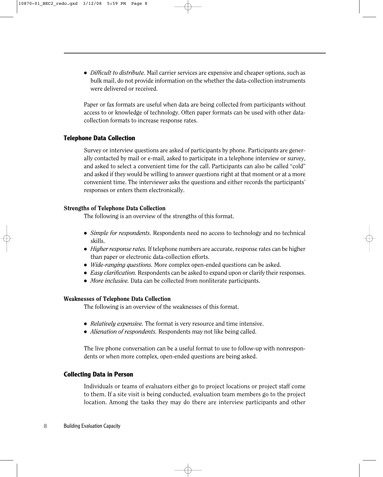● *Difficult to distribute.* Mail carrier services are expensive and cheaper options, such as bulk mail, do not provide information on the whether the data-collection instruments were delivered or received.

Paper or fax formats are useful when data are being collected from participants without access to or knowledge of technology. Often paper formats can be used with other datacollection formats to increase response rates.

#### **Telephone Data Collection**

Survey or interview questions are asked of participants by phone. Participants are generally contacted by mail or e-mail, asked to participate in a telephone interview or survey, and asked to select a convenient time for the call. Participants can also be called "cold" and asked if they would be willing to answer questions right at that moment or at a more convenient time. The interviewer asks the questions and either records the participants' responses or enters them electronically.

#### Strengths of Telephone Data Collection

The following is an overview of the strengths of this format.

- *Simple for respondents.* Respondents need no access to technology and no technical skills.
- *Higher response rates.* If telephone numbers are accurate, response rates can be higher than paper or electronic data-collection efforts.
- *Wide-ranging questions*. More complex open-ended questions can be asked.
- *Easy clarification*. Respondents can be asked to expand upon or clarify their responses.
- *More inclusive*. Data can be collected from nonliterate participants.

#### Weaknesses of Telephone Data Collection

The following is an overview of the weaknesses of this format.

- *Relatively expensive.* The format is very resource and time intensive.
- *Alienation of respondents*. Respondents may not like being called.

The live phone conversation can be a useful format to use to follow-up with nonrespondents or when more complex, open-ended questions are being asked.

#### **Collecting Data in Person**

Individuals or teams of evaluators either go to project locations or project staff come to them. If a site visit is being conducted, evaluation team members go to the project location. Among the tasks they may do there are interview participants and other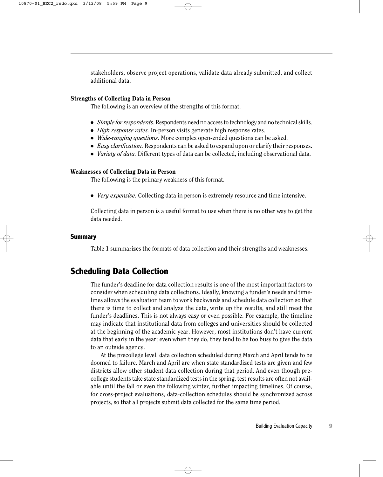stakeholders, observe project operations, validate data already submitted, and collect additional data.

#### Strengths of Collecting Data in Person

The following is an overview of the strengths of this format.

- *Simple for respondents.* Respondents need no access to technology and no technical skills.
- *High response rates.* In-person visits generate high response rates.
- *Wide-ranging questions.* More complex open-ended questions can be asked.
- *Easy clarification.* Respondents can be asked to expand upon or clarify their responses.
- *Variety of data.* Different types of data can be collected, including observational data.

#### Weaknesses of Collecting Data in Person

The following is the primary weakness of this format.

● *Very expensive.* Collecting data in person is extremely resource and time intensive.

Collecting data in person is a useful format to use when there is no other way to get the data needed.

#### **Summary**

Table 1 summarizes the formats of data collection and their strengths and weaknesses.

## **Scheduling Data Collection**

The funder's deadline for data collection results is one of the most important factors to consider when scheduling data collections. Ideally, knowing a funder's needs and timelines allows the evaluation team to work backwards and schedule data collection so that there is time to collect and analyze the data, write up the results, and still meet the funder's deadlines. This is not always easy or even possible. For example, the timeline may indicate that institutional data from colleges and universities should be collected at the beginning of the academic year. However, most institutions don't have current data that early in the year; even when they do, they tend to be too busy to give the data to an outside agency.

At the precollege level, data collection scheduled during March and April tends to be doomed to failure. March and April are when state standardized tests are given and few districts allow other student data collection during that period. And even though precollege students take state standardized tests in the spring, test results are often not available until the fall or even the following winter, further impacting timelines. Of course, for cross-project evaluations, data-collection schedules should be synchronized across projects, so that all projects submit data collected for the same time period.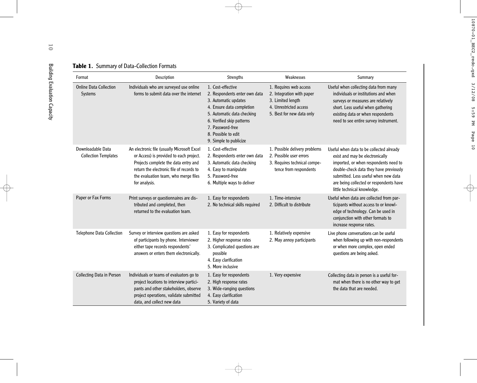|  |  | Table 1. Summary of Data-Collection Formats |  |
|--|--|---------------------------------------------|--|
|--|--|---------------------------------------------|--|

| Format                                           | Description                                                                                                                                                                                                                         | Strengths                                                                                                                                                                                                                               | Weaknesses                                                                                                                      | Summary                                                                                                                                                                                                                                                                          |
|--------------------------------------------------|-------------------------------------------------------------------------------------------------------------------------------------------------------------------------------------------------------------------------------------|-----------------------------------------------------------------------------------------------------------------------------------------------------------------------------------------------------------------------------------------|---------------------------------------------------------------------------------------------------------------------------------|----------------------------------------------------------------------------------------------------------------------------------------------------------------------------------------------------------------------------------------------------------------------------------|
| <b>Online Data Collection</b><br>Systems         | Individuals who are surveyed use online<br>forms to submit data over the internet                                                                                                                                                   | 1. Cost-effective<br>2. Respondents enter own data<br>3. Automatic updates<br>4. Ensure data completion<br>5. Automatic data checking<br>6. Verified skip patterns<br>7. Password-free<br>8. Possible to edit<br>9. Simple to publicize | 1. Requires web access<br>2. Integration with paper<br>3. Limited length<br>4. Unrestricted access<br>5. Best for new data only | Useful when collecting data from many<br>individuals or institutions and when<br>surveys or measures are relatively<br>short. Less useful when gathering<br>existing data or when respondents<br>need to see entire survey instrument.                                           |
| Downloadable Data<br><b>Collection Templates</b> | An electronic file (usually Microsoft Excel<br>or Access) is provided to each project.<br>Projects complete the data entry and<br>return the electronic file of records to<br>the evaluation team, who merge files<br>for analysis. | 1. Cost-effective<br>2. Respondents enter own data<br>3. Automatic data checking<br>4. Easy to manipulate<br>5. Password-free<br>6. Multiple ways to deliver                                                                            | 1. Possible delivery problems<br>2. Possible user errors<br>3. Requires technical compe-<br>tence from respondents              | Useful when data to be collected already<br>exist and may be electronically<br>imported, or when respondents need to<br>double-check data they have previously<br>submitted. Less useful when new data<br>are being collected or respondents have<br>little technical knowledge. |
| Paper or Fax Forms                               | Print surveys or questionnaires are dis-<br>tributed and completed, then<br>returned to the evaluation team.                                                                                                                        | 1. Easy for respondents<br>2. No technical skills required                                                                                                                                                                              | 1. Time-intensive<br>2. Difficult to distribute                                                                                 | Useful when data are collected from par-<br>ticipants without access to or knowl-<br>edge of technology. Can be used in<br>conjunction with other formats to<br>increase response rates.                                                                                         |
| <b>Telephone Data Collection</b>                 | Survey or interview questions are asked<br>of participants by phone. Interviewer<br>either tape records respondents'<br>answers or enters them electronically.                                                                      | 1. Easy for respondents<br>2. Higher response rates<br>3. Complicated questions are<br>possible<br>4. Easy clarification<br>5. More inclusive                                                                                           | 1. Relatively expensive<br>2. May annoy participants                                                                            | Live phone conversations can be useful<br>when following up with non-respondents<br>or when more complex, open ended<br>questions are being asked.                                                                                                                               |
| Collecting Data in Person                        | Individuals or teams of evaluators go to<br>project locations to interview partici-<br>pants and other stakeholders, observe<br>project operations, validate submitted<br>data, and collect new data                                | 1. Easy for respondents<br>2. High response rates<br>3. Wide-ranging questions<br>4. Easy clarification<br>5. Variety of data                                                                                                           | 1. Very expensive                                                                                                               | Collecting data in person is a useful for-<br>mat when there is no other way to get<br>the data that are needed.                                                                                                                                                                 |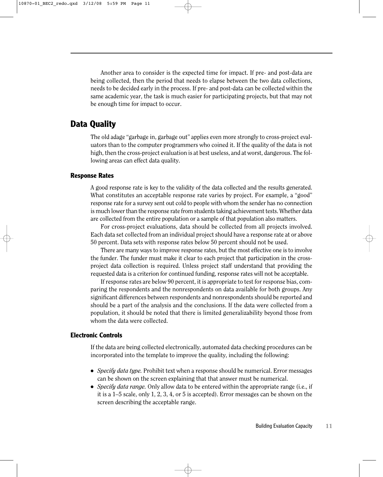Another area to consider is the expected time for impact. If pre- and post-data are being collected, then the period that needs to elapse between the two data collections, needs to be decided early in the process. If pre- and post-data can be collected within the same academic year, the task is much easier for participating projects, but that may not be enough time for impact to occur.

## **Data Quality**

The old adage "garbage in, garbage out" applies even more strongly to cross-project evaluators than to the computer programmers who coined it. If the quality of the data is not high, then the cross-project evaluation is at best useless, and at worst, dangerous. The following areas can effect data quality.

#### **Response Rates**

A good response rate is key to the validity of the data collected and the results generated. What constitutes an acceptable response rate varies by project. For example, a "good" response rate for a survey sent out cold to people with whom the sender has no connection is much lower than the response rate from students taking achievement tests. Whether data are collected from the entire population or a sample of that population also matters.

For cross-project evaluations, data should be collected from all projects involved. Each data set collected from an individual project should have a response rate at or above 50 percent. Data sets with response rates below 50 percent should not be used.

There are many ways to improve response rates, but the most effective one is to involve the funder. The funder must make it clear to each project that participation in the crossproject data collection is required. Unless project staff understand that providing the requested data is a criterion for continued funding, response rates will not be acceptable.

If response rates are below 90 percent, it is appropriate to test for response bias, comparing the respondents and the nonrespondents on data available for both groups. Any significant differences between respondents and nonrespondents should be reported and should be a part of the analysis and the conclusions. If the data were collected from a population, it should be noted that there is limited generalizability beyond those from whom the data were collected.

#### **Electronic Controls**

If the data are being collected electronically, automated data checking procedures can be incorporated into the template to improve the quality, including the following:

- *Specify data type.* Prohibit text when a response should be numerical. Error messages can be shown on the screen explaining that that answer must be numerical.
- *Specify data range.* Only allow data to be entered within the appropriate range (i.e., if it is a 1–5 scale, only 1, 2, 3, 4, or 5 is accepted). Error messages can be shown on the screen describing the acceptable range.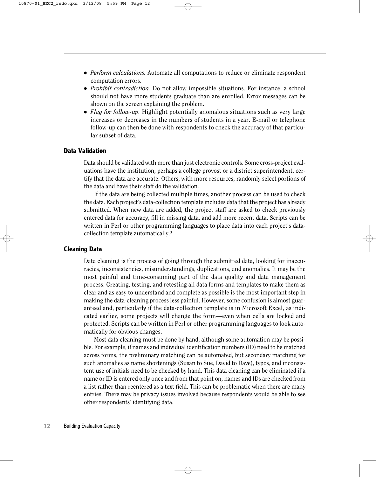- *Perform calculations*. Automate all computations to reduce or eliminate respondent computation errors.
- *Prohibit contradiction.* Do not allow impossible situations. For instance, a school should not have more students graduate than are enrolled. Error messages can be shown on the screen explaining the problem.
- *Flag for follow-up.* Highlight potentially anomalous situations such as very large increases or decreases in the numbers of students in a year. E-mail or telephone follow-up can then be done with respondents to check the accuracy of that particular subset of data.

#### **Data Validation**

Data should be validated with more than just electronic controls. Some cross-project evaluations have the institution, perhaps a college provost or a district superintendent, certify that the data are accurate. Others, with more resources, randomly select portions of the data and have their staff do the validation.

If the data are being collected multiple times, another process can be used to check the data. Each project's data-collection template includes data that the project has already submitted. When new data are added, the project staff are asked to check previously entered data for accuracy, fill in missing data, and add more recent data. Scripts can be written in Perl or other programming languages to place data into each project's datacollection template automatically.3

#### **Cleaning Data**

Data cleaning is the process of going through the submitted data, looking for inaccuracies, inconsistencies, misunderstandings, duplications, and anomalies. It may be the most painful and time-consuming part of the data quality and data management process. Creating, testing, and retesting all data forms and templates to make them as clear and as easy to understand and complete as possible is the most important step in making the data-cleaning process less painful. However, some confusion is almost guaranteed and, particularly if the data-collection template is in Microsoft Excel, as indicated earlier, some projects will change the form—even when cells are locked and protected. Scripts can be written in Perl or other programming languages to look automatically for obvious changes.

Most data cleaning must be done by hand, although some automation may be possible. For example, if names and individual identification numbers (ID) need to be matched across forms, the preliminary matching can be automated, but secondary matching for such anomalies as name shortenings (Susan to Sue, David to Dave), typos, and inconsistent use of initials need to be checked by hand. This data cleaning can be eliminated if a name or ID is entered only once and from that point on, names and IDs are checked from a list rather than reentered as a text field. This can be problematic when there are many entries. There may be privacy issues involved because respondents would be able to see other respondents' identifying data.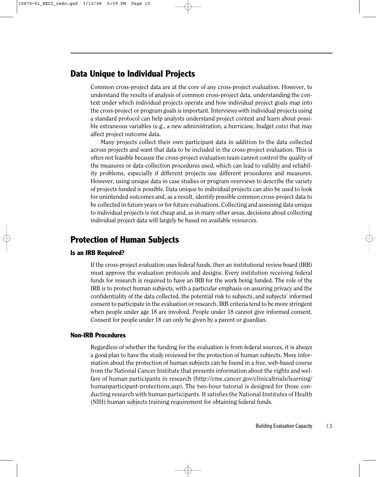## **Data Unique to Individual Projects**

Common cross-project data are at the core of any cross-project evaluation. However, to understand the results of analysis of common cross-project data, understanding the context under which individual projects operate and how individual project goals map into the cross-project or program goals is important. Interviews with individual projects using a standard protocol can help analysts understand project context and learn about possible extraneous variables (e.g., a new administration, a hurricane, budget cuts) that may affect project outcome data.

Many projects collect their own participant data in addition to the data collected across projects and want that data to be included in the cross-project evaluation. This is often not feasible because the cross-project evaluation team cannot control the quality of the measures or data-collection procedures used, which can lead to validity and reliability problems, especially if different projects use different procedures and measures. However, using unique data in case studies or program overviews to describe the variety of projects funded is possible. Data unique to individual projects can also be used to look for unintended outcomes and, as a result, identify possible common cross-project data to be collected in future years or for future evaluations. Collecting and assessing data unique to individual projects is not cheap and, as in many other areas, decisions about collecting individual project data will largely be based on available resources.

# **Protection of Human Subjects**

#### **Is an IRB Required?**

If the cross-project evaluation uses federal funds, then an institutional review board (IRB) must approve the evaluation protocols and designs. Every institution receiving federal funds for research is required to have an IRB for the work being funded. The role of the IRB is to protect human subjects, with a particular emphasis on assuring privacy and the confidentiality of the data collected, the potential risk to subjects, and subjects' informed consent to participate in the evaluation or research. IRB criteria tend to be more stringent when people under age 18 are involved. People under 18 cannot give informed consent. Consent for people under 18 can only be given by a parent or guardian.

#### **Non-IRB Procedures**

Regardless of whether the funding for the evaluation is from federal sources, it is always a good plan to have the study reviewed for the protection of human subjects. More information about the protection of human subjects can be found in a free, web-based course from the National Cancer Institute that presents information about the rights and welfare of human participants in research (http://cme.cancer.gov/clinicaltrials/learning/ humanparticipant-protections.asp). The two-hour tutorial is designed for those conducting research with human participants. It satisfies the National Institutes of Health (NIH) human subjects training requirement for obtaining federal funds.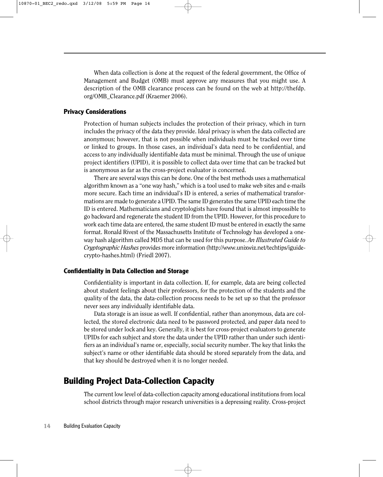When data collection is done at the request of the federal government, the Office of Management and Budget (OMB) must approve any measures that you might use. A description of the OMB clearance process can be found on the web at http://thefdp. org/OMB\_Clearance.pdf (Kraemer 2006).

#### **Privacy Considerations**

Protection of human subjects includes the protection of their privacy, which in turn includes the privacy of the data they provide. Ideal privacy is when the data collected are anonymous; however, that is not possible when individuals must be tracked over time or linked to groups. In those cases, an individual's data need to be confidential, and access to any individually identifiable data must be minimal. Through the use of unique project identifiers (UPID), it is possible to collect data over time that can be tracked but is anonymous as far as the cross-project evaluator is concerned.

There are several ways this can be done. One of the best methods uses a mathematical algorithm known as a "one way hash," which is a tool used to make web sites and e-mails more secure. Each time an individual's ID is entered, a series of mathematical transformations are made to generate a UPID. The same ID generates the same UPID each time the ID is entered. Mathematicians and cryptologists have found that is almost impossible to go backward and regenerate the student ID from the UPID. However, for this procedure to work each time data are entered, the same student ID must be entered in exactly the same format. Ronald Rivest of the Massachusetts Institute of Technology has developed a oneway hash algorithm called MD5 that can be used for this purpose. *An Illustrated Guide to Cryptographic Hashes* provides more information (http://www.unixwiz.net/techtips/iguidecrypto-hashes.html) (Friedl 2007).

#### **Confidentiality in Data Collection and Storage**

Confidentiality is important in data collection. If, for example, data are being collected about student feelings about their professors, for the protection of the students and the quality of the data, the data-collection process needs to be set up so that the professor never sees any individually identifiable data.

Data storage is an issue as well. If confidential, rather than anonymous, data are collected, the stored electronic data need to be password protected, and paper data need to be stored under lock and key. Generally, it is best for cross-project evaluators to generate UPIDs for each subject and store the data under the UPID rather than under such identifiers as an individual's name or, especially, social security number. The key that links the subject's name or other identifiable data should be stored separately from the data, and that key should be destroyed when it is no longer needed.

### **Building Project Data-Collection Capacity**

The current low level of data-collection capacity among educational institutions from local school districts through major research universities is a depressing reality. Cross-project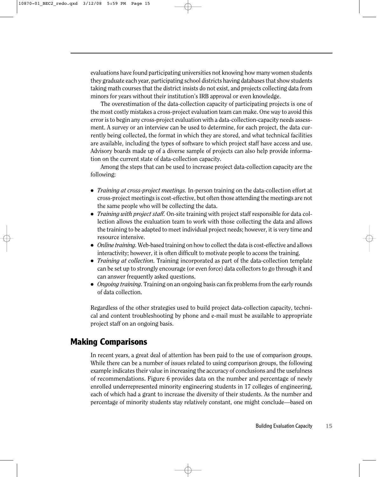evaluations have found participating universities not knowing how many women students they graduate each year, participating school districts having databases that show students taking math courses that the district insists do not exist, and projects collecting data from minors for years without their institution's IRB approval or even knowledge.

The overestimation of the data-collection capacity of participating projects is one of the most costly mistakes a cross-project evaluation team can make. One way to avoid this error is to begin any cross-project evaluation with a data-collection-capacity needs assessment. A survey or an interview can be used to determine, for each project, the data currently being collected, the format in which they are stored, and what technical facilities are available, including the types of software to which project staff have access and use. Advisory boards made up of a diverse sample of projects can also help provide information on the current state of data-collection capacity.

Among the steps that can be used to increase project data-collection capacity are the following:

- *Training at cross-project meetings.* In-person training on the data-collection effort at cross-project meetings is cost-effective, but often those attending the meetings are not the same people who will be collecting the data.
- *Training with project staff.* On-site training with project staff responsible for data collection allows the evaluation team to work with those collecting the data and allows the training to be adapted to meet individual project needs; however, it is very time and resource intensive.
- *Online training.* Web-based training on how to collect the data is cost-effective and allows interactivity; however, it is often difficult to motivate people to access the training.
- *Training at collection*. Training incorporated as part of the data-collection template can be set up to strongly encourage (or even force) data collectors to go through it and can answer frequently asked questions.
- *Ongoing training*. Training on an ongoing basis can fix problems from the early rounds of data collection.

Regardless of the other strategies used to build project data-collection capacity, technical and content troubleshooting by phone and e-mail must be available to appropriate project staff on an ongoing basis.

## **Making Comparisons**

In recent years, a great deal of attention has been paid to the use of comparison groups. While there can be a number of issues related to using comparison groups, the following example indicates their value in increasing the accuracy of conclusions and the usefulness of recommendations. Figure 6 provides data on the number and percentage of newly enrolled underrepresented minority engineering students in 17 colleges of engineering, each of which had a grant to increase the diversity of their students. As the number and percentage of minority students stay relatively constant, one might conclude—based on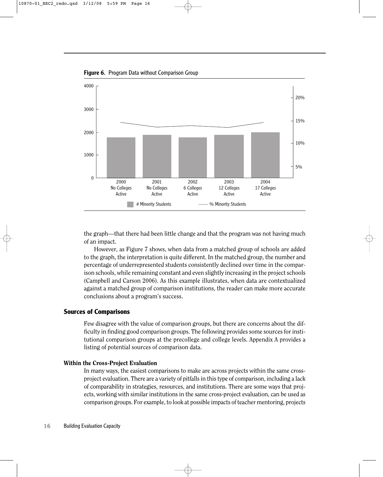**Figure 6.** Program Data without Comparison Group



the graph—that there had been little change and that the program was not having much of an impact.

However, as Figure 7 shows, when data from a matched group of schools are added to the graph, the interpretation is quite different. In the matched group, the number and percentage of underrepresented students consistently declined over time in the comparison schools, while remaining constant and even slightly increasing in the project schools (Campbell and Carson 2006). As this example illustrates, when data are contextualized against a matched group of comparison institutions, the reader can make more accurate conclusions about a program's success.

#### **Sources of Comparisons**

Few disagree with the value of comparison groups, but there are concerns about the difficulty in finding good comparison groups. The following provides some sources for institutional comparison groups at the precollege and college levels. Appendix A provides a listing of potential sources of comparison data.

#### Within the Cross-Project Evaluation

In many ways, the easiest comparisons to make are across projects within the same crossproject evaluation. There are a variety of pitfalls in this type of comparison, including a lack of comparability in strategies, resources, and institutions. There are some ways that projects, working with similar institutions in the same cross-project evaluation, can be used as comparison groups. For example, to look at possible impacts of teacher mentoring, projects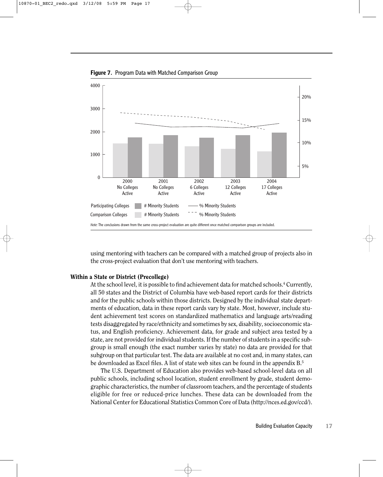

**Figure 7.** Program Data with Matched Comparison Group

using mentoring with teachers can be compared with a matched group of projects also in the cross-project evaluation that don't use mentoring with teachers.

#### Within a State or District (Precollege)

At the school level, it is possible to find achievement data for matched schools.<sup>4</sup> Currently, all 50 states and the District of Columbia have web-based report cards for their districts and for the public schools within those districts. Designed by the individual state departments of education, data in these report cards vary by state. Most, however, include student achievement test scores on standardized mathematics and language arts/reading tests disaggregated by race/ethnicity and sometimes by sex, disability, socioeconomic status, and English proficiency. Achievement data, for grade and subject area tested by a state, are not provided for individual students. If the number of students in a specific subgroup is small enough (the exact number varies by state) no data are provided for that subgroup on that particular test. The data are available at no cost and, in many states, can be downloaded as Excel files. A list of state web sites can be found in the appendix B.5

The U.S. Department of Education also provides web-based school-level data on all public schools, including school location, student enrollment by grade, student demographic characteristics, the number of classroom teachers, and the percentage of students eligible for free or reduced-price lunches. These data can be downloaded from the National Center for Educational Statistics Common Core of Data (http://nces.ed.gov/ccd/).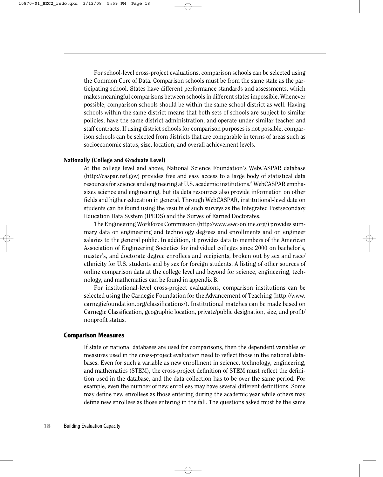For school-level cross-project evaluations, comparison schools can be selected using the Common Core of Data. Comparison schools must be from the same state as the participating school. States have different performance standards and assessments, which makes meaningful comparisons between schools in different states impossible. Whenever possible, comparison schools should be within the same school district as well. Having schools within the same district means that both sets of schools are subject to similar policies, have the same district administration, and operate under similar teacher and staff contracts. If using district schools for comparison purposes is not possible, comparison schools can be selected from districts that are comparable in terms of areas such as socioeconomic status, size, location, and overall achievement levels.

#### Nationally (College and Graduate Level)

At the college level and above, National Science Foundation's WebCASPAR database (http://caspar.nsf.gov) provides free and easy access to a large body of statistical data resources for science and engineering at U.S. academic institutions.<sup>6</sup> WebCASPAR emphasizes science and engineering, but its data resources also provide information on other fields and higher education in general. Through WebCASPAR, institutional-level data on students can be found using the results of such surveys as the Integrated Postsecondary Education Data System (IPEDS) and the Survey of Earned Doctorates.

The Engineering Workforce Commission (http://www.ewc-online.org/) provides summary data on engineering and technology degrees and enrollments and on engineer salaries to the general public. In addition, it provides data to members of the American Association of Engineering Societies for individual colleges since 2000 on bachelor's, master's, and doctorate degree enrollees and recipients, broken out by sex and race/ ethnicity for U.S. students and by sex for foreign students. A listing of other sources of online comparison data at the college level and beyond for science, engineering, technology, and mathematics can be found in appendix B.

For institutional-level cross-project evaluations, comparison institutions can be selected using the Carnegie Foundation for the Advancement of Teaching (http://www. carnegiefoundation.org/classifications/). Institutional matches can be made based on Carnegie Classification, geographic location, private/public designation, size, and profit/ nonprofit status.

#### **Comparison Measures**

If state or national databases are used for comparisons, then the dependent variables or measures used in the cross-project evaluation need to reflect those in the national databases. Even for such a variable as new enrollment in science, technology, engineering, and mathematics (STEM), the cross-project definition of STEM must reflect the definition used in the database, and the data collection has to be over the same period. For example, even the number of new enrollees may have several different definitions. Some may define new enrollees as those entering during the academic year while others may define new enrollees as those entering in the fall. The questions asked must be the same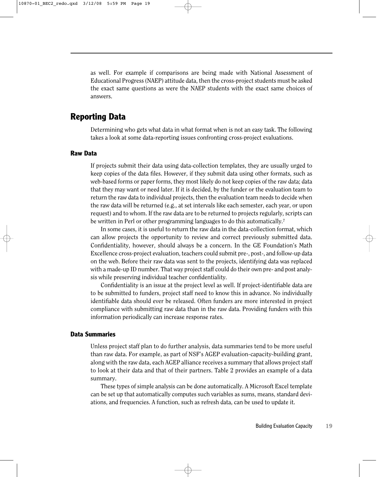as well. For example if comparisons are being made with National Assessment of Educational Progress (NAEP) attitude data, then the cross-project students must be asked the exact same questions as were the NAEP students with the exact same choices of answers.

### **Reporting Data**

Determining who gets what data in what format when is not an easy task. The following takes a look at some data-reporting issues confronting cross-project evaluations.

#### **Raw Data**

If projects submit their data using data-collection templates, they are usually urged to keep copies of the data files. However, if they submit data using other formats, such as web-based forms or paper forms, they most likely do not keep copies of the raw data; data that they may want or need later. If it is decided, by the funder or the evaluation team to return the raw data to individual projects, then the evaluation team needs to decide when the raw data will be returned (e.g., at set intervals like each semester, each year, or upon request) and to whom. If the raw data are to be returned to projects regularly, scripts can be written in Perl or other programming languages to do this automatically.<sup>7</sup>

In some cases, it is useful to return the raw data in the data-collection format, which can allow projects the opportunity to review and correct previously submitted data. Confidentiality, however, should always be a concern. In the GE Foundation's Math Excellence cross-project evaluation, teachers could submit pre-, post-, and follow-up data on the web. Before their raw data was sent to the projects, identifying data was replaced with a made-up ID number. That way project staff could do their own pre- and post analysis while preserving individual teacher confidentiality.

Confidentiality is an issue at the project level as well. If project-identifiable data are to be submitted to funders, project staff need to know this in advance. No individually identifiable data should ever be released. Often funders are more interested in project compliance with submitting raw data than in the raw data. Providing funders with this information periodically can increase response rates.

#### **Data Summaries**

Unless project staff plan to do further analysis, data summaries tend to be more useful than raw data. For example, as part of NSF's AGEP evaluation-capacity-building grant, along with the raw data, each AGEP alliance receives a summary that allows project staff to look at their data and that of their partners. Table 2 provides an example of a data summary.

These types of simple analysis can be done automatically. A Microsoft Excel template can be set up that automatically computes such variables as sums, means, standard deviations, and frequencies. A function, such as refresh data, can be used to update it.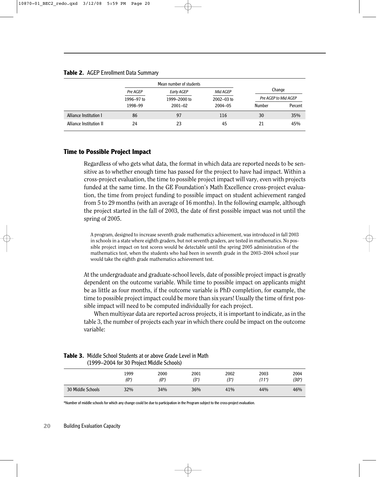#### **Table 2.** AGEP Enrollment Data Summary

|            | Mean number of students |                |        |                      |
|------------|-------------------------|----------------|--------|----------------------|
| Pre AGEP   | Early AGEP              | Mid AGEP       |        | Change               |
| 1996-97 to | 1999–2000 to            | $2002 - 03$ to |        | Pre AGEP to Mid AGEP |
| 1998-99    | $2001 - 02$             | $2004 - 05$    | Number | Percent              |
| 86         | 97                      | 116            | 30     | 35%                  |
| 24         | 23                      | 45             | 21     | 45%                  |
|            |                         |                |        |                      |

#### **Time to Possible Project Impact**

Regardless of who gets what data, the format in which data are reported needs to be sensitive as to whether enough time has passed for the project to have had impact. Within a cross-project evaluation, the time to possible project impact will vary, even with projects funded at the same time. In the GE Foundation's Math Excellence cross-project evaluation, the time from project funding to possible impact on student achievement ranged from 5 to 29 months (with an average of 16 months). In the following example, although the project started in the fall of 2003, the date of first possible impact was not until the spring of 2005.

A program, designed to increase seventh grade mathematics achievement, was introduced in fall 2003 in schools in a state where eighth graders, but not seventh graders, are tested in mathematics. No possible project impact on test scores would be detectable until the spring 2005 administration of the mathematics test, when the students who had been in seventh grade in the 2003–2004 school year would take the eighth grade mathematics achievement test.

At the undergraduate and graduate-school levels, date of possible project impact is greatly dependent on the outcome variable. While time to possible impact on applicants might be as little as four months, if the outcome variable is PhD completion, for example, the time to possible project impact could be more than six years! Usually the time of first possible impact will need to be computed individually for each project.

When multiyear data are reported across projects, it is important to indicate, as in the table 3, the number of projects each year in which there could be impact on the outcome variable:

|                   | (1999–2004 for 30 Project Middle Schools) |                 |              |              |               |                    |
|-------------------|-------------------------------------------|-----------------|--------------|--------------|---------------|--------------------|
|                   | 1999<br>$(0^*)$                           | 2000<br>$(0^*)$ | 2001<br>(3*) | 2002<br>(3*) | 2003<br>(11*) | 2004<br>$(30^{*})$ |
| 30 Middle Schools | 32%                                       | 34%             | 36%          | 41%          | 44%           | 46%                |

#### **Table 3.** Middle School Students at or above Grade Level in Math  $(1000, 2004$  for  $20$  Project Middle Cab

\*Number of middle schools for which any change could be due to participation in the Program subject to the cross-project evaluation.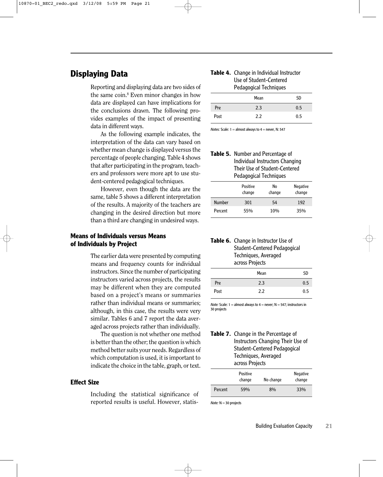# **Displaying Data**

Reporting and displaying data are two sides of the same coin.8 Even minor changes in how data are displayed can have implications for the conclusions drawn. The following provides examples of the impact of presenting data in different ways.

As the following example indicates, the interpretation of the data can vary based on whether mean change is displayed versus the percentage of people changing. Table 4 shows that after participating in the program, teachers and professors were more apt to use student-centered pedagogical techniques.

However, even though the data are the same, table 5 shows a different interpretation of the results. A majority of the teachers are changing in the desired direction but more than a third are changing in undesired ways.

#### **Means of Individuals versus Means of Individuals by Project**

The earlier data were presented by computing means and frequency counts for individual instructors. Since the number of participating instructors varied across projects, the results may be different when they are computed based on a project's means or summaries rather than individual means or summaries; although, in this case, the results were very similar. Tables 6 and 7 report the data averaged across projects rather than individually.

The question is not whether one method is better than the other; the question is which method better suits your needs. Regardless of which computation is used, it is important to indicate the choice in the table, graph, or text.

#### **Effect Size**

Including the statistical significance of reported results is useful. However, statis-

#### **Table 4.** Change in Individual Instructor Use of Student-Centered Pedagogical Techniques

|      | - -<br> |           |
|------|---------|-----------|
|      | Mean    | <b>SD</b> |
| Pre  | 2.3     | 0.5       |
| Post | 2.2     | 0.5       |

*Notes:*  $Scale: 1 = almost always to 4 = never, N: 547$ 

| Table 5. Number and Percentage of |
|-----------------------------------|
| Individual Instructors Changing   |
| Their Use of Student-Centered     |
| Pedagogical Techniques            |

|               | Positive<br>change | No<br>change | <b>Negative</b><br>change |
|---------------|--------------------|--------------|---------------------------|
| <b>Number</b> | 301                | 54           | 192                       |
| Percent       | 55%                | 10%          | 35%                       |

#### **Table 6.** Change in Instructor Use of Student-Centered Pedagogical Techniques, Averaged across Projects

|      | Mean | <b>SD</b> |
|------|------|-----------|
| Pre  | 2.3  | 0.5       |
| Post | 2.2  | 0.5       |

*Note:* Scale:  $1 =$  almost always to  $4 =$  never;  $N = 547$ ; instructors in 30 projects

#### Table 7. Change in the Percentage of Instructors Changing Their Use of Student-Centered Pedagogical Techniques, Averaged across Projects

|         | <b>Positive</b><br>change | No change | <b>Negative</b><br>change |
|---------|---------------------------|-----------|---------------------------|
| Percent | 59%                       | 8%        | 33%                       |

*Note:* N = 30 projects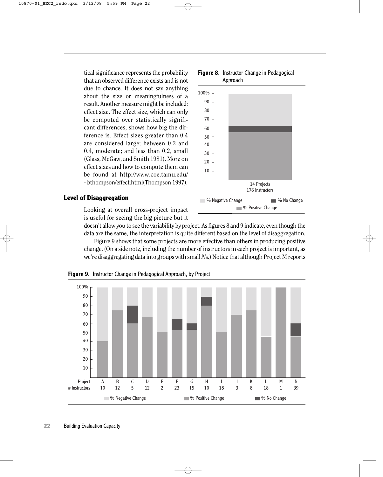tical significance represents the probability that an observed difference exists and is not due to chance. It does not say anything about the size or meaningfulness of a result. Another measure might be included: effect size. The effect size, which can only be computed over statistically significant differences, shows how big the difference is. Effect sizes greater than 0.4 are considered large; between 0.2 and 0.4, moderate; and less than 0.2, small (Glass, McGaw, and Smith 1981). More on effect sizes and how to compute them can be found at http://www.coe.tamu.edu/ ∼bthompson/effect.html(Thompson 1997).



<sup>%</sup> Positive Change

**Figure 8.** Instructor Change in Pedagogical

#### **Level of Disaggregation**

Looking at overall cross-project impact is useful for seeing the big picture but it

doesn't allow you to see the variability by project. As figures 8 and 9 indicate, even though the data are the same, the interpretation is quite different based on the level of disaggregation.

Figure 9 shows that some projects are more effective than others in producing positive change. (On a side note, including the number of instructors in each project is important, as we're disaggregating data into groups with small *N*s.) Notice that although Project M reports



**Figure 9.** Instructor Change in Pedagogical Approach, by Project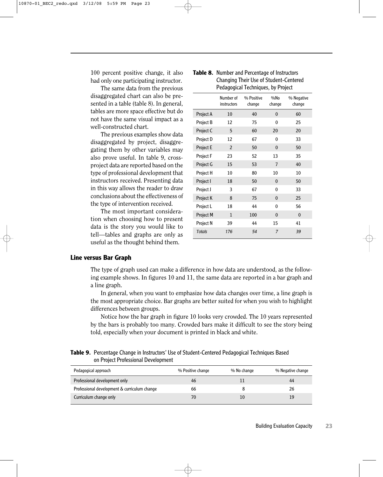100 percent positive change, it also had only one participating instructor.

The same data from the previous disaggregated chart can also be presented in a table (table 8). In general, tables are more space effective but do not have the same visual impact as a well-constructed chart.

The previous examples show data disaggregated by project, disaggregating them by other variables may also prove useful. In table 9, crossproject data are reported based on the type of professional development that instructors received. Presenting data in this way allows the reader to draw conclusions about the effectiveness of the type of intervention received.

The most important consideration when choosing how to present data is the story you would like to tell—tables and graphs are only as useful as the thought behind them.

|                  | Number of<br>instructors | % Positive<br>change | %No<br>change | % Negative<br>change |
|------------------|--------------------------|----------------------|---------------|----------------------|
| Project A        | 10                       | 40                   | 0             | 60                   |
| Project B        | 12                       | 75                   | 0             | 25                   |
| Project C        | 5                        | 60                   | 20            | 20                   |
| Project D        | 12                       | 67                   | 0             | 33                   |
| Project E        | 2                        | 50                   | $\Omega$      | 50                   |
| Project F        | 23                       | 52                   | 13            | 35                   |
| Project G        | 15                       | 53                   | 7             | 40                   |
| Project H        | 10                       | 80                   | 10            | 10                   |
| Project I        | 18                       | 50                   | 0             | 50                   |
| Project J        | 3                        | 67                   | 0             | 33                   |
| Project K        | 8                        | 75                   | $\mathbf{0}$  | 25                   |
| Project L        | 18                       | 44                   | $\Omega$      | 56                   |
| <b>Project M</b> | $\mathbf{1}$             | 100                  | $\Omega$      | $\bf{0}$             |

Project N 39 44 15 41 *Totals 176 54 7 39*

#### **Table 8.** Number and Percentage of Instructors Changing Their Use of Student-Centered Pedagogical Techniques, by Project

#### **Line versus Bar Graph**

The type of graph used can make a difference in how data are understood, as the following example shows. In figures 10 and 11, the same data are reported in a bar graph and a line graph.

In general, when you want to emphasize how data changes over time, a line graph is the most appropriate choice. Bar graphs are better suited for when you wish to highlight differences between groups.

Notice how the bar graph in figure 10 looks very crowded. The 10 years represented by the bars is probably too many. Crowded bars make it difficult to see the story being told, especially when your document is printed in black and white.

#### **Table 9.** Percentage Change in Instructors' Use of Student-Centered Pedagogical Techniques Based on Project Professional Development

| Pedagogical approach                         | % Positive change | % No change | % Negative change |
|----------------------------------------------|-------------------|-------------|-------------------|
| Professional development only                | 46                |             | 44                |
| Professional development & curriculum change | 66                |             | 26                |
| Curriculum change only                       | 70                |             | 19                |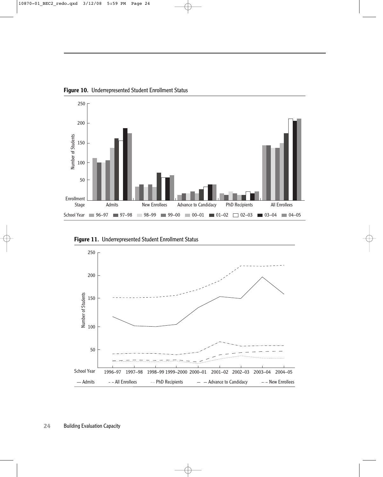

**Figure 10.** Underrepresented Student Enrollment Status



**Figure 11.** Underrepresented Student Enrollment Status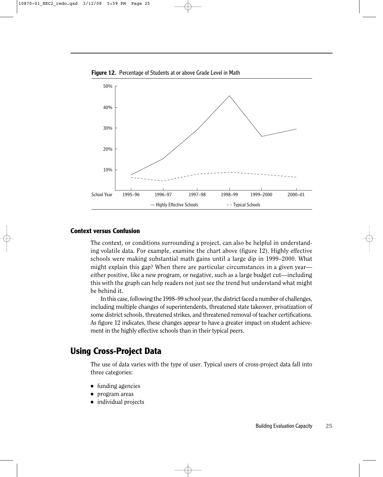



#### **Context versus Confusion**

The context, or conditions surrounding a project, can also be helpful in understanding volatile data. For example, examine the chart above (figure 12). Highly effective schools were making substantial math gains until a large dip in 1999–2000. What might explain this gap? When there are particular circumstances in a given year either positive, like a new program, or negative, such as a large budget cut—including this with the graph can help readers not just see the trend but understand what might be behind it.

In this case, following the 1998–99 school year, the district faced a number of challenges, including multiple changes of superintendents, threatened state takeover, privatization of some district schools, threatened strikes, and threatened removal of teacher certifications. As figure 12 indicates, these changes appear to have a greater impact on student achievement in the highly effective schools than in their typical peers.

## **Using Cross-Project Data**

The use of data varies with the type of user. Typical users of cross-project data fall into three categories:

- funding agencies
- program areas
- individual projects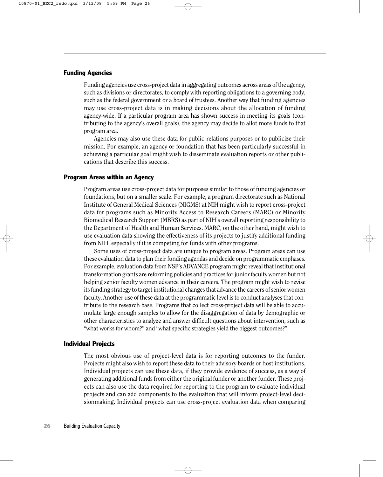#### **Funding Agencies**

Funding agencies use cross-project data in aggregating outcomes across areas of the agency, such as divisions or directorates, to comply with reporting obligations to a governing body, such as the federal government or a board of trustees. Another way that funding agencies may use cross-project data is in making decisions about the allocation of funding agency-wide. If a particular program area has shown success in meeting its goals (contributing to the agency's overall goals), the agency may decide to allot more funds to that program area.

Agencies may also use these data for public-relations purposes or to publicize their mission. For example, an agency or foundation that has been particularly successful in achieving a particular goal might wish to disseminate evaluation reports or other publications that describe this success.

#### **Program Areas within an Agency**

Program areas use cross-project data for purposes similar to those of funding agencies or foundations, but on a smaller scale. For example, a program directorate such as National Institute of General Medical Sciences (NIGMS) at NIH might wish to report cross-project data for programs such as Minority Access to Research Careers (MARC) or Minority Biomedical Research Support (MBRS) as part of NIH's overall reporting responsibility to the Department of Health and Human Services. MARC, on the other hand, might wish to use evaluation data showing the effectiveness of its projects to justify additional funding from NIH, especially if it is competing for funds with other programs.

Some uses of cross-project data are unique to program areas. Program areas can use these evaluation data to plan their funding agendas and decide on programmatic emphases. For example, evaluation data from NSF's ADVANCE program might reveal that institutional transformation grants are reforming policies and practices for junior faculty women but not helping senior faculty women advance in their careers. The program might wish to revise its funding strategy to target institutional changes that advance the careers of senior women faculty. Another use of these data at the programmatic level is to conduct analyses that contribute to the research base. Programs that collect cross-project data will be able to accumulate large enough samples to allow for the disaggregation of data by demographic or other characteristics to analyze and answer difficult questions about intervention, such as "what works for whom?" and "what specific strategies yield the biggest outcomes?"

#### **Individual Projects**

The most obvious use of project-level data is for reporting outcomes to the funder. Projects might also wish to report these data to their advisory boards or host institutions. Individual projects can use these data, if they provide evidence of success, as a way of generating additional funds from either the original funder or another funder. These projects can also use the data required for reporting to the program to evaluate individual projects and can add components to the evaluation that will inform project-level decisionmaking. Individual projects can use cross-project evaluation data when comparing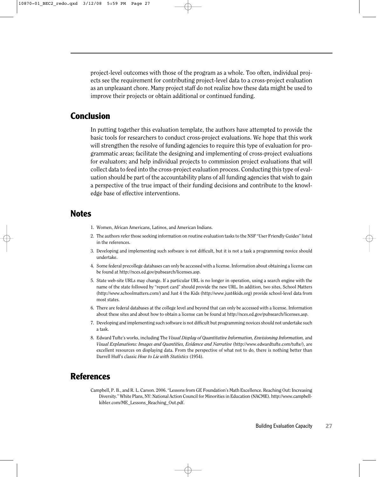project-level outcomes with those of the program as a whole. Too often, individual projects see the requirement for contributing project-level data to a cross-project evaluation as an unpleasant chore. Many project staff do not realize how these data might be used to improve their projects or obtain additional or continued funding.

## **Conclusion**

In putting together this evaluation template, the authors have attempted to provide the basic tools for researchers to conduct cross-project evaluations. We hope that this work will strengthen the resolve of funding agencies to require this type of evaluation for programmatic areas; facilitate the designing and implementing of cross-project evaluations for evaluators; and help individual projects to commission project evaluations that will collect data to feed into the cross-project evaluation process. Conducting this type of evaluation should be part of the accountability plans of all funding agencies that wish to gain a perspective of the true impact of their funding decisions and contribute to the knowledge base of effective interventions.

## **Notes**

- 1. Women, African Americans, Latinos, and American Indians.
- 2. The authors refer those seeking information on routine evaluation tasks to the NSF "User Friendly Guides" listed in the references.
- 3. Developing and implementing such software is not difficult, but it is not a task a programming novice should undertake.
- 4. Some federal precollege databases can only be accessed with a license. Information about obtaining a license can be found at http://nces.ed.gov/pubsearch/licenses.asp.
- 5. State web-site URLs may change. If a particular URL is no longer in operation, using a search engine with the name of the state followed by "report card" should provide the new URL. In addition, two sites, School Matters (http://www.schoolmatters.com/) and Just 4 the Kids (http://www.just4kids.org) provide school-level data from most states.
- 6. There are federal databases at the college level and beyond that can only be accessed with a license. Information about these sites and about how to obtain a license can be found at http://nces.ed.gov/pubsearch/licenses.asp.
- 7. Developing and implementing such software is not difficult but programming novices should not undertake such a task.
- 8. Edward Tufte's works, including The *Visual Display of Quantitative Information, Envisioning Information,* and *Visual Explanations: Images and Quantities, Evidence and Narrative* (http://www.edwardtufte.com/tufte/), are excellent resources on displaying data. From the perspective of what not to do, there is nothing better than Darrell Huff's classic *How to Lie with Statistics* (1954).

## **References**

Campbell, P. B., and R. L. Carson. 2006. "Lessons from GE Foundation's Math Excellence. Reaching Out: Increasing Diversity." White Plans, NY: National Action Council for Minorities in Education (NACME). http://www.campbellkibler.com/ME\_Lessons\_Reaching\_Out.pdf.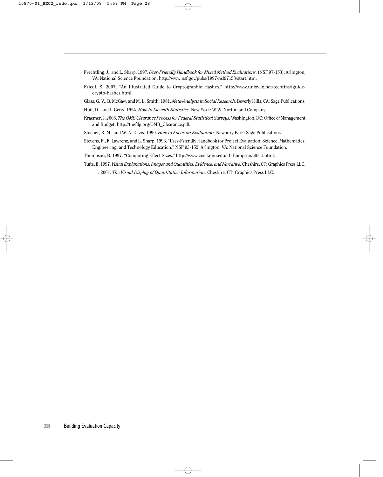- Frechtling, J., and L. Sharp. 1997. *User-Friendly Handbook for Mixed Method Evaluations.* (NSF 97-153). Arlington, VA: National Science Foundation. http://www.nsf.gov/pubs/1997/nsf97153/start.htm.
- Friedl, S. 2007. "An Illustrated Guide to Cryptographic Hashes." http://www.unixwiz.net/techtips/iguidecrypto-hashes.html.

Glass, G. V., B. McGaw, and M. L. Smith. 1981. *Meta-Analysis in Social Research.* Beverly Hills, CA: Sage Publications.

Huff, D., and I. Geiss. 1954. *How to Lie with Statistics.* New York: W.W. Norton and Company.

- Kraemer, J. 2006. *The OMB Clearance Process for Federal Statistical Surveys.* Washington, DC: Office of Management and Budget. http://thefdp.org/OMB\_Clearance.pdf.
- Stecher, B. M., and W. A. Davis. 1990. *How to Focus an Evaluation.* Newbury Park: Sage Publications.
- Stevens, F., F. Lawrenz, and L. Sharp. 1993. "User-Friendly Handbook for Project Evaluation: Science, Mathematics, Engineering, and Technology Education." NSF 93-152. Arlington, VA: National Science Foundation.
- Thompson, B. 1997. "Computing Effect Sizes." http://www.coe.tamu.edu/∼bthompson/effect.html.
- Tufte, E. 1997. *Visual Explanations: Images and Quantities, Evidence, and Narrative.* Cheshire, CT: Graphics Press LLC.
	- ———. 2001. *The Visual Display of Quantitative Information.* Cheshire, CT: Graphics Press LLC.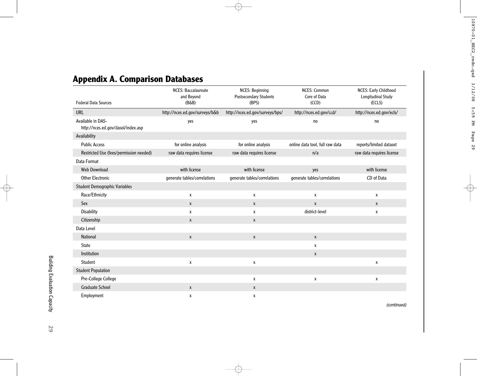# **Appendix A. Comparison Databases**

| <b>Federal Data Sources</b>                             | <b>NCES: Baccalaureate</b><br>and Beyond<br>$(B\&B)$ | <b>NCES: Beginning</b><br>Postsecondary Students<br>(BPS) | <b>NCES: Common</b><br>Core of Data<br>(CCD) | NCES: Early Childhood<br>Longitudinal Study<br>(ECLS) |
|---------------------------------------------------------|------------------------------------------------------|-----------------------------------------------------------|----------------------------------------------|-------------------------------------------------------|
| <b>URL</b>                                              | http://nces.ed.gov/surveys/b&b                       | http://nces.ed.gov/surveys/bps/                           | http://nces.ed.gov/ccd/                      | http://nces.ed.gov/ecls/                              |
| Available in DAS-<br>http://nces.ed.gov/dasol/index.asp | yes                                                  | yes                                                       | no                                           | no                                                    |
| Availability                                            |                                                      |                                                           |                                              |                                                       |
| <b>Public Access</b>                                    | for online analysis                                  | for online analysis                                       | online data tool, full raw data              | reports/limited dataset                               |
| Restricted Use (fees/permission needed)                 | raw data requires license                            | raw data requires license                                 | n/a                                          | raw data requires license                             |
| Data Format                                             |                                                      |                                                           |                                              |                                                       |
| <b>Web Download</b>                                     | with license                                         | with license                                              | yes                                          | with license                                          |
| <b>Other Electronic</b>                                 | generate tables/correlations                         | generate tables/correlations                              | generate tables/correlations                 | CD of Data                                            |
| <b>Student Demographic Variables</b>                    |                                                      |                                                           |                                              |                                                       |
| Race/Ethnicity                                          | X                                                    | $\pmb{\chi}$                                              | X                                            | X                                                     |
| Sex                                                     | $\mathsf{X}$                                         | $\mathsf{X}$                                              | $\mathsf{X}$                                 | $\mathsf{X}$                                          |
| <b>Disability</b>                                       | X                                                    | X                                                         | district-level                               | X                                                     |
| Citizenship                                             | $\mathsf{X}$                                         | $\pmb{\chi}$                                              |                                              |                                                       |
| Data Level                                              |                                                      |                                                           |                                              |                                                       |
| <b>National</b>                                         | $\mathsf{X}$                                         | $\pmb{\chi}$                                              | $\mathsf{x}$                                 |                                                       |
| <b>State</b>                                            |                                                      |                                                           | X                                            |                                                       |
| Institution                                             |                                                      |                                                           | X                                            |                                                       |
| Student                                                 | X                                                    | X                                                         |                                              | X                                                     |
| <b>Student Population</b>                               |                                                      |                                                           |                                              |                                                       |
| Pre-College College                                     |                                                      | $\pmb{\chi}$                                              | X                                            | X                                                     |
| <b>Graduate School</b>                                  | X                                                    | $\mathsf{x}$                                              |                                              |                                                       |
| Employment                                              | X                                                    | X                                                         |                                              |                                                       |

*(continued)*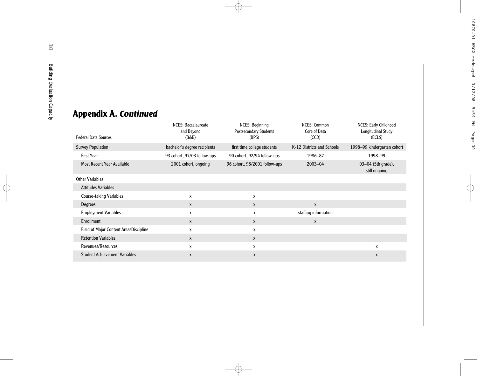| <b>Federal Data Sources</b>            | <b>NCES: Baccalaureate</b><br>and Beyond<br>$(B\&B)$ | <b>NCES: Beginning</b><br><b>Postsecondary Students</b><br>(BPS) | <b>NCES: Common</b><br>Core of Data<br>(CCD) | <b>NCES: Early Childhood</b><br>Longitudinal Study<br>(ECLS) |
|----------------------------------------|------------------------------------------------------|------------------------------------------------------------------|----------------------------------------------|--------------------------------------------------------------|
| <b>Survey Population</b>               | bachelor's degree recipients                         | first time college students                                      | K-12 Districts and Schools                   | 1998-99 kindergarten cohort                                  |
| <b>First Year</b>                      | 93 cohort, 97/03 follow-ups                          | 90 cohort, 92/94 follow-ups                                      | 1986-87                                      | 1998-99                                                      |
| <b>Most Recent Year Available</b>      | 2001 cohort, ongoing                                 | 96 cohort, 98/2001 follow-ups                                    | 2003-04                                      | 03-04 (5th grade),<br>still ongoing                          |
| <b>Other Variables</b>                 |                                                      |                                                                  |                                              |                                                              |
| <b>Attitudes Variables</b>             |                                                      |                                                                  |                                              |                                                              |
| <b>Course-taking Variables</b>         | X                                                    | X                                                                |                                              |                                                              |
| <b>Degrees</b>                         | X                                                    | $\mathsf{x}$                                                     | X                                            |                                                              |
| <b>Employment Variables</b>            | X                                                    | X                                                                | staffing information                         |                                                              |
| Enrollment                             | X                                                    | X                                                                | X                                            |                                                              |
| Field of Major Content Area/Discipline | x                                                    | X                                                                |                                              |                                                              |
| <b>Retention Variables</b>             | X                                                    | X                                                                |                                              |                                                              |
| Revenues/Resources                     | X                                                    | X                                                                |                                              | X                                                            |
| <b>Student Achievement Variables</b>   | X                                                    | X                                                                |                                              | X                                                            |

# **Appendix A.** *Continued*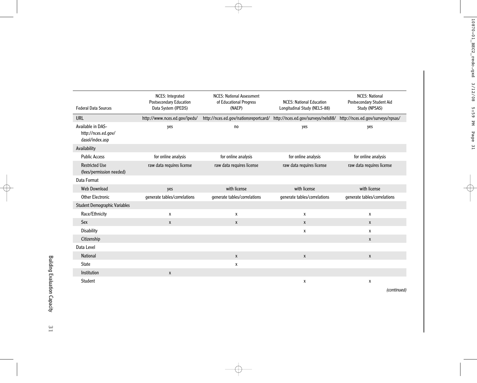| <b>Federal Data Sources</b>                                 | NCES: Integrated<br><b>Postsecondary Education</b><br>Data System (IPEDS) | <b>NCES: National Assessment</b><br>of Educational Progress<br>(NAEP) | <b>NCES: National Education</b><br>Longitudinal Study (NELS-88) | <b>NCES: National</b><br>Postsecondary Student Aid<br>Study (NPSAS) |
|-------------------------------------------------------------|---------------------------------------------------------------------------|-----------------------------------------------------------------------|-----------------------------------------------------------------|---------------------------------------------------------------------|
| <b>URL</b>                                                  | http://www.nces.ed.gov/ipeds/                                             | http://nces.ed.gov/nationsreportcard/                                 | http://nces.ed.gov/surveys/nels88/                              | http://nces.ed.gov/surveys/npsas/                                   |
| Available in DAS-<br>http://nces.ed.gov/<br>dasol/index.asp | yes                                                                       | no                                                                    | yes                                                             | yes                                                                 |
| Availability                                                |                                                                           |                                                                       |                                                                 |                                                                     |
| <b>Public Access</b>                                        | for online analysis                                                       | for online analysis                                                   | for online analysis                                             | for online analysis                                                 |
| <b>Restricted Use</b><br>(fees/permission needed)           | raw data requires license                                                 | raw data requires license<br>raw data requires license                |                                                                 | raw data requires license                                           |
| Data Format                                                 |                                                                           |                                                                       |                                                                 |                                                                     |
| Web Download                                                | yes                                                                       | with license                                                          | with license                                                    | with license                                                        |
| <b>Other Electronic</b>                                     | generate tables/correlations                                              | generate tables/correlations                                          | generate tables/correlations                                    | generate tables/correlations                                        |
| <b>Student Demographic Variables</b>                        |                                                                           |                                                                       |                                                                 |                                                                     |
| Race/Ethnicity                                              | X                                                                         | $\pmb{\chi}$                                                          | X                                                               | X                                                                   |
| Sex                                                         | $\mathsf{x}$                                                              | $\pmb{\chi}$                                                          | X                                                               | X                                                                   |
| <b>Disability</b>                                           |                                                                           |                                                                       | X                                                               | X                                                                   |
| Citizenship                                                 |                                                                           |                                                                       |                                                                 | $\mathsf{x}$                                                        |
| Data Level                                                  |                                                                           |                                                                       |                                                                 |                                                                     |
| <b>National</b>                                             |                                                                           | $\mathsf{X}$                                                          | $\mathsf{X}$                                                    | X                                                                   |
| <b>State</b>                                                |                                                                           | X                                                                     |                                                                 |                                                                     |
| Institution                                                 | X                                                                         |                                                                       |                                                                 |                                                                     |
| Student                                                     |                                                                           |                                                                       | X                                                               | X                                                                   |
|                                                             |                                                                           |                                                                       |                                                                 | (continued)                                                         |

**31**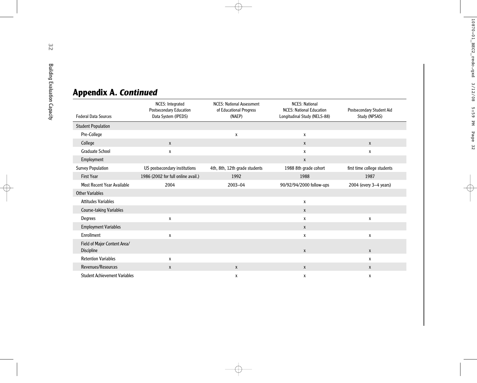| <b>Federal Data Sources</b>                | NCES: Integrated<br><b>Postsecondary Education</b><br>Data System (IPEDS) | <b>NCES: National Assessment</b><br>of Educational Progress<br>(NAEP) | <b>NCES: National</b><br><b>NCES: National Education</b><br>Longitudinal Study (NELS-88) | Postsecondary Student Aid<br>Study (NPSAS) |
|--------------------------------------------|---------------------------------------------------------------------------|-----------------------------------------------------------------------|------------------------------------------------------------------------------------------|--------------------------------------------|
| <b>Student Population</b>                  |                                                                           |                                                                       |                                                                                          |                                            |
| Pre-College                                |                                                                           | $\pmb{\mathsf{X}}$                                                    | X                                                                                        |                                            |
| College                                    | $\mathsf{X}$                                                              |                                                                       | X                                                                                        | $\mathsf{X}$                               |
| <b>Graduate School</b>                     | X                                                                         |                                                                       | X                                                                                        | X                                          |
| Employment                                 |                                                                           |                                                                       | $\pmb{\mathsf{X}}$                                                                       |                                            |
| <b>Survey Population</b>                   | US postsecondary institutions                                             | 4th, 8th, 12th grade students                                         | 1988 8th grade cohort                                                                    | first time college students                |
| <b>First Year</b>                          | 1986 (2002 for full online avail.)                                        | 1992                                                                  | 1988                                                                                     | 1987                                       |
| Most Recent Year Available                 | 2004                                                                      | 2003-04                                                               | 90/92/94/2000 follow-ups                                                                 | 2004 (every 3-4 years)                     |
| <b>Other Variables</b>                     |                                                                           |                                                                       |                                                                                          |                                            |
| <b>Attitudes Variables</b>                 |                                                                           |                                                                       | X                                                                                        |                                            |
| Course-taking Variables                    |                                                                           |                                                                       | X                                                                                        |                                            |
| Degrees                                    | X                                                                         |                                                                       | X                                                                                        | X                                          |
| <b>Employment Variables</b>                |                                                                           |                                                                       | $\mathsf{x}$                                                                             |                                            |
| Enrollment                                 | X                                                                         |                                                                       | X                                                                                        | $\pmb{\chi}$                               |
| Field of Major Content Area/<br>Discipline |                                                                           |                                                                       | $\mathsf{x}$                                                                             | $\mathsf{x}$                               |
| <b>Retention Variables</b>                 | X                                                                         |                                                                       |                                                                                          | X                                          |
| Revenues/Resources                         | X                                                                         | $\mathsf{X}$                                                          | $\mathsf{X}$                                                                             | $\mathsf{x}$                               |
| <b>Student Achievement Variables</b>       |                                                                           | Х                                                                     | х                                                                                        | X                                          |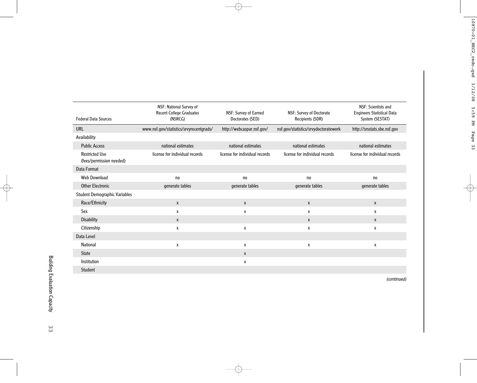| <b>Federal Data Sources</b>                       | NSF: National Survey of<br><b>Recent College Graduates</b><br>(NSRCG) | NSF: Survey of Earned<br>Doctorates (SED) | NSF: Survey of Doctorate<br>Recipients (SDR) | NSF: Scientists and<br><b>Engineers Statistical Data</b><br>System (SESTAT) |
|---------------------------------------------------|-----------------------------------------------------------------------|-------------------------------------------|----------------------------------------------|-----------------------------------------------------------------------------|
| <b>URL</b>                                        | www.nsf.gov/statistics/srvyrecentgrads/                               | http://webcaspar.nsf.gov/                 | nsf.gov/statistics/srvydoctoratework         | http://srsstats.sbe.nsf.gov                                                 |
| Availability                                      |                                                                       |                                           |                                              |                                                                             |
| <b>Public Access</b>                              | national estimates                                                    | national estimates                        | national estimates                           | national estimates                                                          |
| <b>Restricted Use</b><br>(fees/permission needed) | license for individual records                                        | license for individual records            | license for individual records               | license for individual records                                              |
| Data Format                                       |                                                                       |                                           |                                              |                                                                             |
| Web Download                                      | no                                                                    | no                                        | no                                           | no                                                                          |
| <b>Other Electronic</b>                           | generate tables                                                       | generate tables                           | generate tables                              | generate tables                                                             |
| <b>Student Demographic Variables</b>              |                                                                       |                                           |                                              |                                                                             |
| Race/Ethnicity                                    | $\mathsf{x}$                                                          | X                                         | $\mathsf{X}$                                 | X                                                                           |
| Sex                                               | X                                                                     | X                                         | X                                            | X                                                                           |
| <b>Disability</b>                                 | X                                                                     |                                           | X                                            | X                                                                           |
| Citizenship                                       | X                                                                     | X                                         | X                                            | X                                                                           |
| Data Level                                        |                                                                       |                                           |                                              |                                                                             |
| <b>National</b>                                   | X                                                                     | X                                         | $\mathsf{x}$                                 | X                                                                           |
| <b>State</b>                                      |                                                                       | X                                         |                                              |                                                                             |
| Institution                                       |                                                                       | X                                         |                                              |                                                                             |
| Student                                           |                                                                       |                                           |                                              |                                                                             |

*(continued)*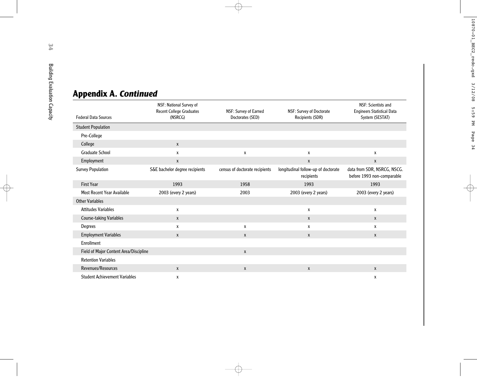| <b>Appendix A. Continued</b> |  |
|------------------------------|--|
|------------------------------|--|

| <b>Federal Data Sources</b>            | NSF: National Survey of<br>Recent College Graduates<br>(NSRCG) | NSF: Survey of Earned<br>Doctorates (SED) | NSF: Survey of Doctorate<br>Recipients (SDR)      | NSF: Scientists and<br>Engineers Statistical Data<br>System (SESTAT) |
|----------------------------------------|----------------------------------------------------------------|-------------------------------------------|---------------------------------------------------|----------------------------------------------------------------------|
| <b>Student Population</b>              |                                                                |                                           |                                                   |                                                                      |
| Pre-College                            |                                                                |                                           |                                                   |                                                                      |
| College                                | $\mathsf{x}$                                                   |                                           |                                                   |                                                                      |
| <b>Graduate School</b>                 | $\pmb{\chi}$                                                   | $\pmb{\chi}$                              | χ                                                 | X                                                                    |
| Employment                             | $\mathsf{x}$                                                   |                                           | $\mathsf{X}$                                      | $\mathsf{x}$                                                         |
| <b>Survey Population</b>               | S&E bachelor degree recipients                                 | census of doctorate recipients            | longitudinal follow-up of doctorate<br>recipients | data from SDR, NSRCG, NSCG.<br>before 1993 non-comparable            |
| <b>First Year</b>                      | 1993                                                           | 1958                                      | 1993                                              | 1993                                                                 |
| <b>Most Recent Year Available</b>      | 2003 (every 2 years)                                           | 2003                                      | 2003 (every 2 years)                              | 2003 (every 2 years)                                                 |
| <b>Other Variables</b>                 |                                                                |                                           |                                                   |                                                                      |
| <b>Attitudes Variables</b>             | X                                                              |                                           | X                                                 | X                                                                    |
| <b>Course-taking Variables</b>         | $\mathsf{X}$                                                   |                                           | X                                                 | X                                                                    |
| Degrees                                | X                                                              | X                                         | x                                                 | X                                                                    |
| <b>Employment Variables</b>            | $\mathsf{X}$                                                   | $\pmb{\chi}$                              | X                                                 | X                                                                    |
| Enrollment                             |                                                                |                                           |                                                   |                                                                      |
| Field of Major Content Area/Discipline |                                                                | $\mathsf{x}$                              |                                                   |                                                                      |
| <b>Retention Variables</b>             |                                                                |                                           |                                                   |                                                                      |
| Revenues/Resources                     | $\mathsf{X}$                                                   | $\mathsf{X}$                              | $\pmb{\chi}$                                      | $\mathsf{X}$                                                         |
| <b>Student Achievement Variables</b>   | Х                                                              |                                           |                                                   | X                                                                    |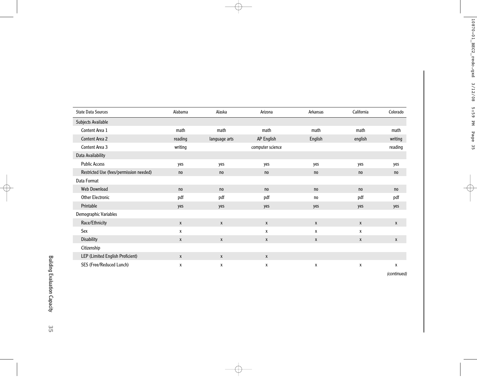| <b>State Data Sources</b>               | Alabama      | Alaska        | Arizona          | Arkansas | California | Colorado |
|-----------------------------------------|--------------|---------------|------------------|----------|------------|----------|
| Subjects Available                      |              |               |                  |          |            |          |
| Content Area 1                          | math         | math          | math             | math     | math       | math     |
| Content Area 2                          | reading      | language arts | AP English       | English  | english    | writing  |
| Content Area 3                          | writing      |               | computer science |          |            | reading  |
| Data Availability                       |              |               |                  |          |            |          |
| <b>Public Access</b>                    | yes          | yes           | yes              | yes      | yes        | yes      |
| Restricted Use (fees/permission needed) | no           | no            | no               | no       | no         | no       |
| Data Format                             |              |               |                  |          |            |          |
| Web Download                            | no           | no            | no               | no       | no         | no       |
| <b>Other Electronic</b>                 | pdf          | pdf           | pdf              | no       | pdf        | pdf      |
| Printable                               | yes          | yes           | yes              | yes      | yes        | yes      |
| Demographic Variables                   |              |               |                  |          |            |          |
| Race/Ethnicity                          | X            | X             | X                | X        | X          | X        |
| Sex                                     | X            |               | X                | X        | X          |          |
| <b>Disability</b>                       | $\mathsf{X}$ | X             | X                | X        | X          | X        |
| Citizenship                             |              |               |                  |          |            |          |
| LEP (Limited English Proficient)        | X            | X             | X                |          |            |          |
| SES (Free/Reduced Lunch)                | X            | X             | X                | X        | X          | X        |

*(continued)*

**35**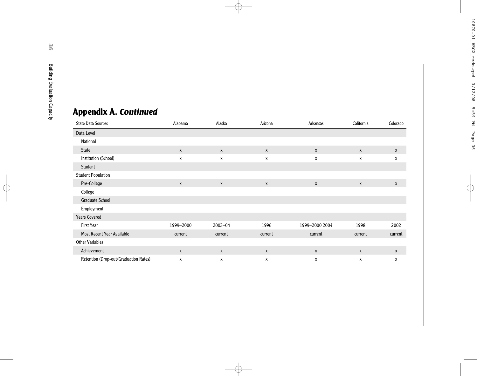# **Appendix A.** *Continued*

| <b>State Data Sources</b>             | Alabama          | Alaska  | Arizona | Arkansas       | California   | Colorado |
|---------------------------------------|------------------|---------|---------|----------------|--------------|----------|
| Data Level                            |                  |         |         |                |              |          |
| National                              |                  |         |         |                |              |          |
| <b>State</b>                          | $\boldsymbol{X}$ | X       | X       | X              | X            | X        |
| Institution (School)                  | X                | X       | X       | X              | X            | X        |
| Student                               |                  |         |         |                |              |          |
| <b>Student Population</b>             |                  |         |         |                |              |          |
| Pre-College                           | X                | X       | X       | X              | X            | X        |
| College                               |                  |         |         |                |              |          |
| <b>Graduate School</b>                |                  |         |         |                |              |          |
| Employment                            |                  |         |         |                |              |          |
| <b>Years Covered</b>                  |                  |         |         |                |              |          |
| <b>First Year</b>                     | 1999-2000        | 2003-04 | 1996    | 1999-2000 2004 | 1998         | 2002     |
| <b>Most Recent Year Available</b>     | current          | current | current | current        | current      | current  |
| <b>Other Variables</b>                |                  |         |         |                |              |          |
| Achievement                           | $\mathsf{X}$     | X       | X       | $\mathsf{X}$   | $\mathsf{X}$ | X        |
| Retention (Drop-out/Graduation Rates) | X                | Х       | x       | х              | X            | Х        |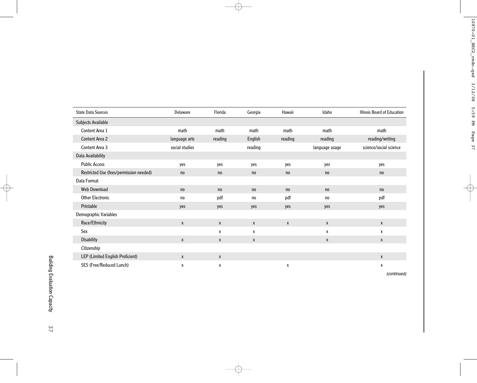| <b>State Data Sources</b>               | Delaware       | Florida | Georgia      | Hawaii       | Idaho          | Illinois Board of Education |
|-----------------------------------------|----------------|---------|--------------|--------------|----------------|-----------------------------|
| Subjects Available                      |                |         |              |              |                |                             |
| Content Area 1                          | math           | math    | math         | math         | math           | math                        |
| Content Area 2                          | language arts  | reading | English      | reading      | reading        | reading/writing             |
| Content Area 3                          | social studies |         | reading      |              | language usage | science/social science      |
| Data Availability                       |                |         |              |              |                |                             |
| <b>Public Access</b>                    | yes            | yes     | yes          | yes          | yes            | yes                         |
| Restricted Use (fees/permission needed) | no             | no      | no           | no           | no             | no                          |
| Data Format                             |                |         |              |              |                |                             |
| <b>Web Download</b>                     | no             | no      | no           | no           | no             | no                          |
| Other Electronic                        | no             | pdf     | no           | pdf          | no             | pdf                         |
| Printable                               | yes            | yes     | yes          | yes          | yes            | yes                         |
| Demographic Variables                   |                |         |              |              |                |                             |
| Race/Ethnicity                          | X              | X       | $\pmb{\chi}$ | $\mathsf{x}$ | $\mathsf{X}$   | X                           |
| Sex                                     |                | X       | X            |              | X              | X                           |
| <b>Disability</b>                       | X              | X       | X            |              | X              | X                           |
| Citizenship                             |                |         |              |              |                |                             |
| LEP (Limited English Proficient)        | X              | X       |              |              |                | X                           |
| SES (Free/Reduced Lunch)                | X              | х       |              | x            |                | Х                           |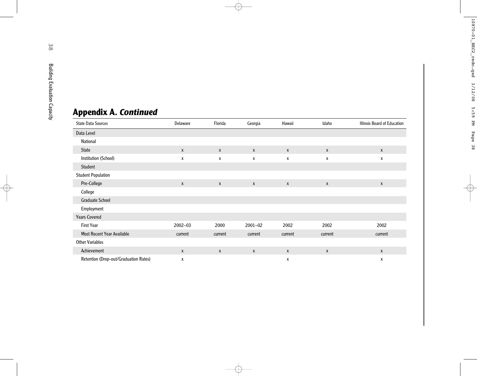# **Appendix A.** *Continued*

| <b>State Data Sources</b>             | Delaware     | Florida          | Georgia      | Hawaii       | Idaho            | <b>Illinois Board of Education</b> |
|---------------------------------------|--------------|------------------|--------------|--------------|------------------|------------------------------------|
| Data Level                            |              |                  |              |              |                  |                                    |
| National                              |              |                  |              |              |                  |                                    |
| <b>State</b>                          | $\mathsf{X}$ | $\boldsymbol{X}$ | $\mathsf{X}$ | $\pmb{\chi}$ | X                | $\mathsf{x}$                       |
| Institution (School)                  | X            | X                | X            | X            | X                | X                                  |
| Student                               |              |                  |              |              |                  |                                    |
| <b>Student Population</b>             |              |                  |              |              |                  |                                    |
| Pre-College                           | X            | $\mathbf{x}$     | X            | $\mathsf{x}$ | X                | $\mathsf{x}$                       |
| College                               |              |                  |              |              |                  |                                    |
| <b>Graduate School</b>                |              |                  |              |              |                  |                                    |
| Employment                            |              |                  |              |              |                  |                                    |
| <b>Years Covered</b>                  |              |                  |              |              |                  |                                    |
| <b>First Year</b>                     | 2002-03      | 2000             | $2001 - 02$  | 2002         | 2002             | 2002                               |
| <b>Most Recent Year Available</b>     | current      | current          | current      | current      | current          | current                            |
| <b>Other Variables</b>                |              |                  |              |              |                  |                                    |
| Achievement                           | X            | X                | X            | $\mathsf{x}$ | $\boldsymbol{x}$ | $\mathsf{X}$                       |
| Retention (Drop-out/Graduation Rates) | X            |                  |              | Х            |                  | x                                  |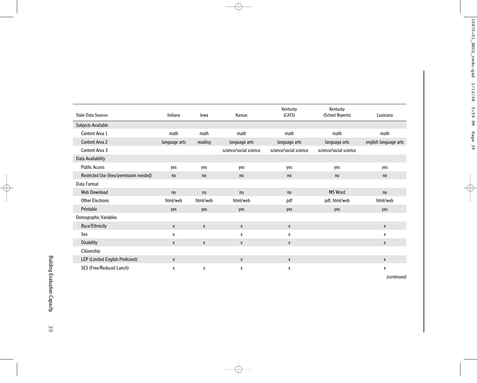|                                         |               |              |                        | Kentucky               | Kentucky               |                       |
|-----------------------------------------|---------------|--------------|------------------------|------------------------|------------------------|-----------------------|
| <b>State Data Sources</b>               | Indiana       | lowa         | Kansas                 | (CATS)                 | (School Reports)       | Louisiana             |
| Subjects Available                      |               |              |                        |                        |                        |                       |
| Content Area 1                          | math          | math         | math                   | math                   | math                   | math                  |
| Content Area 2                          | language arts | reading      | language arts          | language arts          | language arts          | english language arts |
| Content Area 3                          |               |              | science/social science | science/social science | science/social science |                       |
| Data Availability                       |               |              |                        |                        |                        |                       |
| <b>Public Access</b>                    | yes           | yes          | yes                    | yes                    | yes                    | yes                   |
| Restricted Use (fees/permission needed) | no            | no           | no                     | no                     | no                     | no                    |
| Data Format                             |               |              |                        |                        |                        |                       |
| <b>Web Download</b>                     | no            | no           | no                     | no                     | MS Word                | no                    |
| <b>Other Electronic</b>                 | html/web      | html/web     | html/web               | pdf                    | pdf, html/web          | html/web              |
| Printable                               | yes           | yes          | yes                    | yes                    | yes                    | yes                   |
| Demographic Variables                   |               |              |                        |                        |                        |                       |
| Race/Ethnicity                          | X             | $\pmb{\chi}$ | $\mathsf{X}$           | $\pmb{\chi}$           |                        | $\mathsf{X}$          |
| Sex                                     | X             |              | X                      | X                      |                        | x                     |
| <b>Disability</b>                       | X             | X            | $\mathsf{x}$           | X                      |                        | X                     |
| Citizenship                             |               |              |                        |                        |                        |                       |
| LEP (Limited English Proficient)        | X             |              | X                      | $\pmb{\chi}$           |                        | X                     |
| SES (Free/Reduced Lunch)                | X             | х            | X                      | X                      |                        | X                     |

*(continued)*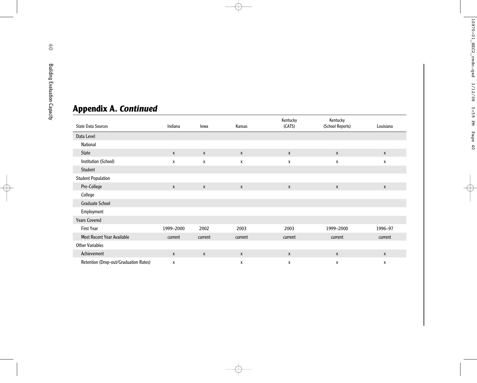# **Appendix A.** *Continued*

| <b>Appendix A. Continued</b>          |              |              |                    |                    |                  |              |
|---------------------------------------|--------------|--------------|--------------------|--------------------|------------------|--------------|
|                                       |              |              |                    | Kentucky           | Kentucky         |              |
| <b>State Data Sources</b>             | Indiana      | lowa         | Kansas             | (CATS)             | (School Reports) | Louisiana    |
| Data Level                            |              |              |                    |                    |                  |              |
| National                              |              |              |                    |                    |                  |              |
| <b>State</b>                          | $\mathsf{x}$ | $\mathsf{x}$ | X                  | $\mathsf{X}$       | $\mathsf{X}$     | X            |
| Institution (School)                  | X            | X            | X                  | X                  | X                | X            |
| Student                               |              |              |                    |                    |                  |              |
| <b>Student Population</b>             |              |              |                    |                    |                  |              |
| Pre-College                           | $\pmb{\chi}$ | $\pmb{\chi}$ | $\pmb{\mathsf{X}}$ | $\pmb{\mathsf{X}}$ | $\pmb{\chi}$     | X            |
| College                               |              |              |                    |                    |                  |              |
| <b>Graduate School</b>                |              |              |                    |                    |                  |              |
| Employment                            |              |              |                    |                    |                  |              |
| <b>Years Covered</b>                  |              |              |                    |                    |                  |              |
| <b>First Year</b>                     | 1999-2000    | 2002         | 2003               | 2003               | 1999-2000        | 1996-97      |
| <b>Most Recent Year Available</b>     | current      | current      | current            | current            | current          | current      |
| <b>Other Variables</b>                |              |              |                    |                    |                  |              |
| Achievement                           | $\mathsf{x}$ | $\mathbf{x}$ | $\mathsf{X}$       | $\mathsf{X}$       | $\mathsf{X}$     | $\mathsf{X}$ |
| Retention (Drop-out/Graduation Rates) | X            |              | X                  | X                  | X                | X            |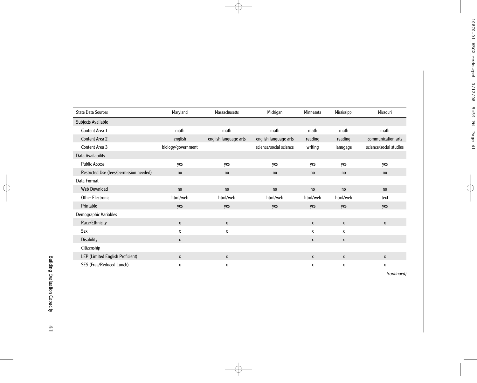| <b>State Data Sources</b>               | Maryland           | Massachusetts         | Michigan               | Minnesota    | Mississippi  | Missouri               |
|-----------------------------------------|--------------------|-----------------------|------------------------|--------------|--------------|------------------------|
| Subjects Available                      |                    |                       |                        |              |              |                        |
| Content Area 1                          | math               | math                  | math                   | math         | math         | math                   |
| <b>Content Area 2</b>                   | english            | english language arts | english language arts  | reading      | reading      | communication arts     |
| Content Area 3                          | biology/government |                       | science/social science | writing      | lanugage     | science/social studies |
| Data Availability                       |                    |                       |                        |              |              |                        |
| <b>Public Access</b>                    | yes                | yes                   | yes                    | yes          | yes          | yes                    |
| Restricted Use (fees/permission needed) | no                 | no                    | no                     | no           | no           | no                     |
| Data Format                             |                    |                       |                        |              |              |                        |
| <b>Web Download</b>                     | no                 | no                    | no                     | no           | no           | no                     |
| <b>Other Electronic</b>                 | html/web           | html/web              | html/web               | html/web     | html/web     | text                   |
| Printable                               | yes                | yes                   | yes                    | yes          | yes          | yes                    |
| Demographic Variables                   |                    |                       |                        |              |              |                        |
| Race/Ethnicity                          | $\mathsf{x}$       | X                     |                        | $\mathsf{x}$ | X            | $\mathsf{X}$           |
| Sex                                     | X                  | $\pmb{\chi}$          |                        | X            | X            |                        |
| <b>Disability</b>                       | X                  |                       |                        | X            | $\pmb{\chi}$ |                        |
| Citizenship                             |                    |                       |                        |              |              |                        |
| LEP (Limited English Proficient)        | $\mathsf{x}$       | X                     |                        | $\mathsf{x}$ | $\mathsf{x}$ | X                      |
| SES (Free/Reduced Lunch)                | X                  | X                     |                        | X            | X            | X                      |

*(continued)*

**41**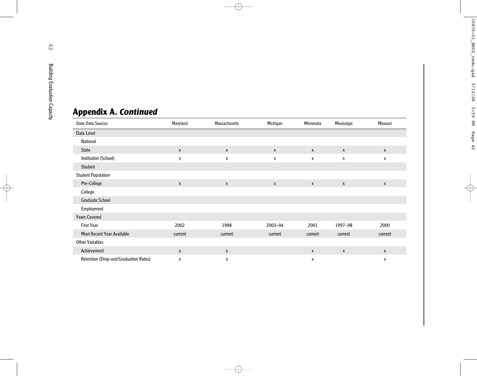# **Appendix A.** *Continued*

| <b>State Data Sources</b>             | Maryland | Massachusetts | Michigan     | Minnesota | Mississippi | Missouri     |
|---------------------------------------|----------|---------------|--------------|-----------|-------------|--------------|
| Data Level                            |          |               |              |           |             |              |
| National                              |          |               |              |           |             |              |
| <b>State</b>                          | X        | $\mathsf{X}$  | X            | X         | X           | $\mathsf{x}$ |
| Institution (School)                  | X        | X             | X            | X         | X           | X            |
| Student                               |          |               |              |           |             |              |
| <b>Student Population</b>             |          |               |              |           |             |              |
| Pre-College                           | X        | X             | $\mathsf{X}$ | X         | X           | $\mathsf{X}$ |
| College                               |          |               |              |           |             |              |
| <b>Graduate School</b>                |          |               |              |           |             |              |
| Employment                            |          |               |              |           |             |              |
| <b>Years Covered</b>                  |          |               |              |           |             |              |
| <b>First Year</b>                     | 2002     | 1998          | 2003-04      | 2001      | 1997-98     | 2000         |
| <b>Most Recent Year Available</b>     | current  | current       | current      | current   | current     | current      |
| <b>Other Variables</b>                |          |               |              |           |             |              |
| Achievement                           | X        | X             |              | X         | X           | $\mathsf{x}$ |
| Retention (Drop-out/Graduation Rates) | X        | X             |              | x         |             | X            |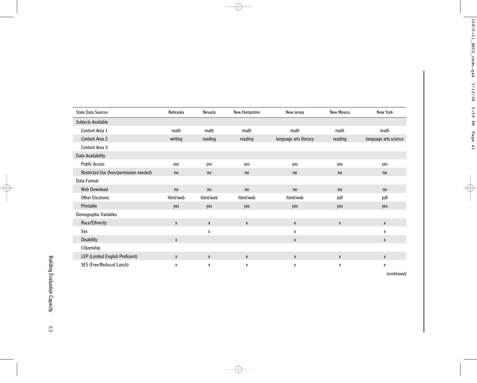| <b>State Data Sources</b>               | Nebraska     | Nevada   | New Hampshire | New Jersey             | <b>New Mexico</b> | New York              |
|-----------------------------------------|--------------|----------|---------------|------------------------|-------------------|-----------------------|
| Subjects Available                      |              |          |               |                        |                   |                       |
| Content Area 1                          | math         | math     | math          | math                   | math              | math                  |
| Content Area 2                          | writing      | reading  | reading       | language arts literacy | reading           | language arts science |
| Content Area 3                          |              |          |               |                        |                   |                       |
| Data Availability                       |              |          |               |                        |                   |                       |
| <b>Public Access</b>                    | yes          | yes      | yes           | yes                    | yes               | yes                   |
| Restricted Use (fees/permission needed) | no           | no       | no            | no                     | no                | no                    |
| Data Format                             |              |          |               |                        |                   |                       |
| Web Download                            | no           | no       | no            | no                     | no                | no                    |
| <b>Other Electronic</b>                 | html/web     | html/web | html/web      | html/web               | pdf               | pdf                   |
| Printable                               | yes          | yes      | yes           | yes                    | yes               | yes                   |
| Demographic Variables                   |              |          |               |                        |                   |                       |
| Race/Ethnicity                          | $\mathsf{x}$ | X        | $\mathsf{X}$  | X                      | X                 | X                     |
| Sex                                     |              | X        |               | X                      |                   | X                     |
| <b>Disability</b>                       | $\mathsf{x}$ |          |               | X                      |                   | X                     |
| Citizenship                             |              |          |               |                        |                   |                       |
| LEP (Limited English Proficient)        | $\mathsf{X}$ | X        | X             | $\mathsf{x}$           | X                 | X                     |
| SES (Free/Reduced Lunch)                | X            | X        | $\mathsf{x}$  | X                      | X                 | X                     |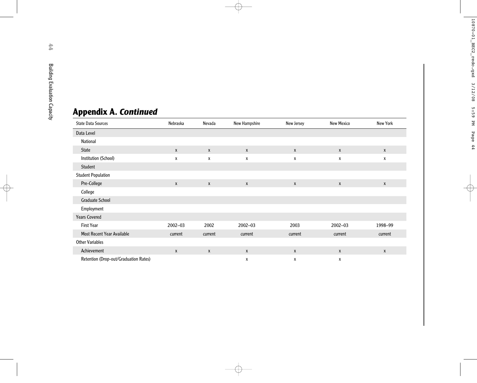# **Appendix A.** *Continued*

| <b>State Data Sources</b>             | Nebraska     | Nevada  | New Hampshire | New Jersey | <b>New Mexico</b> | New York                  |
|---------------------------------------|--------------|---------|---------------|------------|-------------------|---------------------------|
| Data Level                            |              |         |               |            |                   |                           |
| National                              |              |         |               |            |                   |                           |
| <b>State</b>                          | $\mathsf{X}$ | X       | X             | X          | X                 | $\boldsymbol{\mathsf{X}}$ |
| Institution (School)                  | X            | X       | χ             | X          | X                 | X                         |
| Student                               |              |         |               |            |                   |                           |
| <b>Student Population</b>             |              |         |               |            |                   |                           |
| Pre-College                           | $\mathsf{X}$ | X       | $\mathsf{x}$  | X          | X                 | $\mathsf{X}$              |
| College                               |              |         |               |            |                   |                           |
| <b>Graduate School</b>                |              |         |               |            |                   |                           |
| Employment                            |              |         |               |            |                   |                           |
| <b>Years Covered</b>                  |              |         |               |            |                   |                           |
| <b>First Year</b>                     | $2002 - 03$  | 2002    | 2002-03       | 2003       | $2002 - 03$       | 1998-99                   |
| <b>Most Recent Year Available</b>     | current      | current | current       | current    | current           | current                   |
| <b>Other Variables</b>                |              |         |               |            |                   |                           |
| Achievement                           | X            | X       | $\mathsf{x}$  | X          | $\mathsf{X}$      | $\boldsymbol{\mathsf{X}}$ |
| Retention (Drop-out/Graduation Rates) |              |         | X             | X          | Х                 |                           |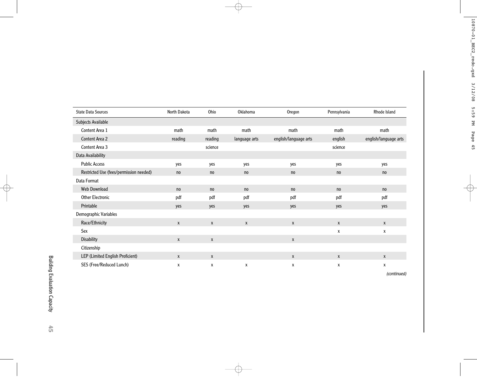| <b>State Data Sources</b>               | North Dakota | Ohio    | Oklahoma      | Oregon                | Pennsylvania | Rhode Island          |
|-----------------------------------------|--------------|---------|---------------|-----------------------|--------------|-----------------------|
| Subjects Available                      |              |         |               |                       |              |                       |
| Content Area 1                          | math         | math    | math          | math                  | math         | math                  |
| <b>Content Area 2</b>                   | reading      | reading | language arts | english/language arts | english      | english/language arts |
| Content Area 3                          |              | science |               |                       | science      |                       |
| Data Availability                       |              |         |               |                       |              |                       |
| <b>Public Access</b>                    | yes          | yes     | yes           | yes                   | yes          | yes                   |
| Restricted Use (fees/permission needed) | no           | no      | no            | no                    | no           | no                    |
| Data Format                             |              |         |               |                       |              |                       |
| <b>Web Download</b>                     | no           | no      | no            | no                    | no           | no                    |
| <b>Other Electronic</b>                 | pdf          | pdf     | pdf           | pdf                   | pdf          | pdf                   |
| Printable                               | yes          | yes     | yes           | yes                   | yes          | yes                   |
| Demographic Variables                   |              |         |               |                       |              |                       |
| Race/Ethnicity                          | X            | X       | X             | X                     | X            | X                     |
| Sex                                     |              |         |               |                       | X            | X                     |
| <b>Disability</b>                       | X            | X       |               | X                     |              |                       |
| Citizenship                             |              |         |               |                       |              |                       |
| LEP (Limited English Proficient)        | X            | X       |               | X                     | X            | X                     |
| SES (Free/Reduced Lunch)                | X            | X       | X             | X                     | X            | X                     |

*(continued)*

**45**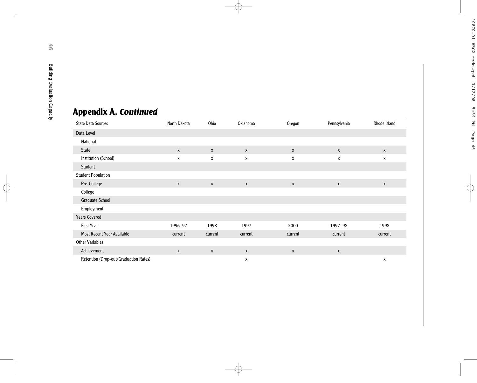# **Appendix A.** *Continued*

| <b>State Data Sources</b>             | North Dakota | Ohio         | Oklahoma         | Oregon       | Pennsylvania | Rhode Island |
|---------------------------------------|--------------|--------------|------------------|--------------|--------------|--------------|
| Data Level                            |              |              |                  |              |              |              |
| National                              |              |              |                  |              |              |              |
| <b>State</b>                          | X            | $\mathsf{X}$ | $\boldsymbol{x}$ | X            | X            | X            |
| Institution (School)                  | X            | X            | X                | χ            | X            | X            |
| Student                               |              |              |                  |              |              |              |
| <b>Student Population</b>             |              |              |                  |              |              |              |
| Pre-College                           | $\mathsf{x}$ | $\mathsf{X}$ | $\boldsymbol{X}$ | $\mathsf{x}$ | $\mathsf{X}$ | $\mathsf{x}$ |
| College                               |              |              |                  |              |              |              |
| <b>Graduate School</b>                |              |              |                  |              |              |              |
| Employment                            |              |              |                  |              |              |              |
| <b>Years Covered</b>                  |              |              |                  |              |              |              |
| <b>First Year</b>                     | 1996-97      | 1998         | 1997             | 2000         | 1997-98      | 1998         |
| <b>Most Recent Year Available</b>     | current      | current      | current          | current      | current      | current      |
| <b>Other Variables</b>                |              |              |                  |              |              |              |
| Achievement                           | X            | $\mathsf{x}$ | $\boldsymbol{x}$ | X            | $\mathsf{X}$ |              |
| Retention (Drop-out/Graduation Rates) |              |              | χ                |              |              | х            |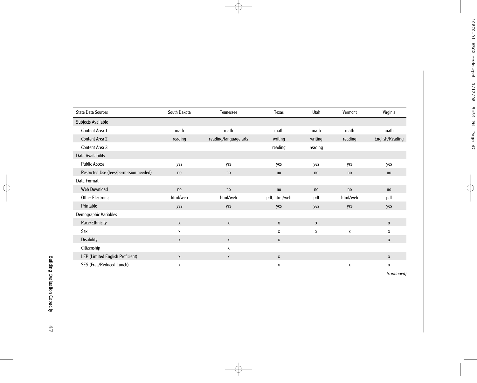| <b>State Data Sources</b>               | South Dakota | Tennessee             | Texas         | Utah         | Vermont      | Virginia                  |
|-----------------------------------------|--------------|-----------------------|---------------|--------------|--------------|---------------------------|
| Subjects Available                      |              |                       |               |              |              |                           |
| Content Area 1                          | math         | math                  | math          | math         | math         | math                      |
| Content Area 2                          | reading      | reading/language arts | writing       | writing      | reading      | English/Reading           |
| Content Area 3                          |              |                       | reading       | reading      |              |                           |
| Data Availability                       |              |                       |               |              |              |                           |
| <b>Public Access</b>                    | yes          | yes                   | yes           | yes          | yes          | yes                       |
| Restricted Use (fees/permission needed) | no           | no                    | no            | no           | no           | no                        |
| Data Format                             |              |                       |               |              |              |                           |
| Web Download                            | no           | no                    | no            | no           | no           | no                        |
| <b>Other Electronic</b>                 | html/web     | html/web              | pdf, html/web | pdf          | html/web     | pdf                       |
| Printable                               | yes          | yes                   | yes           | yes          | yes          | yes                       |
| Demographic Variables                   |              |                       |               |              |              |                           |
| Race/Ethnicity                          | $\mathsf{x}$ | X                     | X             | $\mathsf{X}$ |              | $\boldsymbol{\mathsf{X}}$ |
| Sex                                     | X            |                       | X             | X            | $\pmb{\chi}$ | X                         |
| <b>Disability</b>                       | $\mathsf{X}$ | $\mathsf{x}$          | $\mathsf{X}$  |              |              | X                         |
| Citizenship                             |              | X                     |               |              |              |                           |
| LEP (Limited English Proficient)        | $\mathsf{x}$ | X                     | X             |              |              | X                         |
| SES (Free/Reduced Lunch)                | x            |                       | х             |              | х            | χ                         |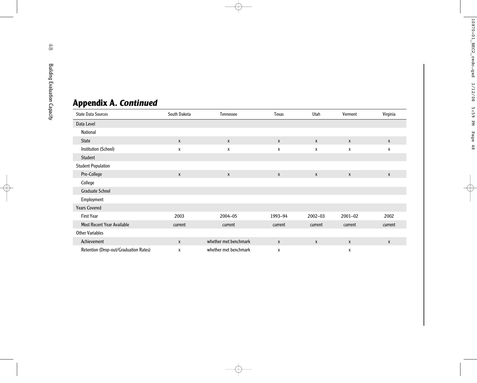| <b>Appendix A. Continued</b>          |              |                       |                  |              |              |              |
|---------------------------------------|--------------|-----------------------|------------------|--------------|--------------|--------------|
| <b>State Data Sources</b>             | South Dakota | Tennessee             | <b>Texas</b>     | Utah         | Vermont      | Virginia     |
| Data Level                            |              |                       |                  |              |              |              |
| National                              |              |                       |                  |              |              |              |
| <b>State</b>                          | $\mathsf{X}$ | $\mathsf{X}$          | $\boldsymbol{X}$ | $\mathsf{X}$ | $\mathsf{X}$ | $\mathsf{X}$ |
| Institution (School)                  | $\pmb{\chi}$ | $\pmb{\chi}$          | $\mathsf{x}$     | X            | $\pmb{\chi}$ | X            |
| Student                               |              |                       |                  |              |              |              |
| <b>Student Population</b>             |              |                       |                  |              |              |              |
| Pre-College                           | $\mathsf{X}$ | $\pmb{\chi}$          | X                | $\mathbf{x}$ | $\mathbf{x}$ | X            |
| College                               |              |                       |                  |              |              |              |
| <b>Graduate School</b>                |              |                       |                  |              |              |              |
| Employment                            |              |                       |                  |              |              |              |
| <b>Years Covered</b>                  |              |                       |                  |              |              |              |
| <b>First Year</b>                     | 2003         | 2004-05               | 1993-94          | $2002 - 03$  | $2001 - 02$  | 2002         |
| Most Recent Year Available            | current      | current               | current          | current      | current      | current      |
| <b>Other Variables</b>                |              |                       |                  |              |              |              |
| Achievement                           | $\mathsf{x}$ | whether met benchmark | $\boldsymbol{X}$ | $\mathsf{x}$ | $\mathsf{X}$ | X            |
| Retention (Drop-out/Graduation Rates) | X            | whether met benchmark | X                |              | X            |              |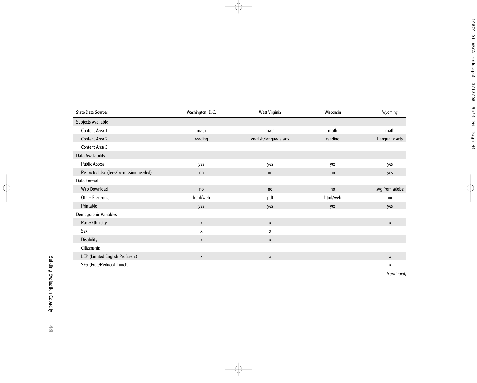| <b>State Data Sources</b>               | Washington, D.C. | West Virginia         | Wisconsin | Wyoming        |
|-----------------------------------------|------------------|-----------------------|-----------|----------------|
| Subjects Available                      |                  |                       |           |                |
| Content Area 1                          | math             | math                  | math      | math           |
| Content Area 2                          | reading          | english/language arts | reading   | Language Arts  |
| Content Area 3                          |                  |                       |           |                |
| Data Availability                       |                  |                       |           |                |
| <b>Public Access</b>                    | yes              | yes                   | yes       | yes            |
| Restricted Use (fees/permission needed) | no               | no                    | no        | yes            |
| Data Format                             |                  |                       |           |                |
| Web Download                            | no               | no                    | no        | svg from adobe |
| <b>Other Electronic</b>                 | html/web         | pdf                   | html/web  | no             |
| Printable                               | yes              | yes                   | yes       | yes            |
| Demographic Variables                   |                  |                       |           |                |
| Race/Ethnicity                          | $\mathsf{X}$     | X                     |           | X              |
| Sex                                     | X                | X                     |           |                |
| <b>Disability</b>                       | $\mathsf{x}$     | X                     |           |                |
| Citizenship                             |                  |                       |           |                |
| LEP (Limited English Proficient)        | $\mathsf{x}$     | X                     |           | X              |
| SES (Free/Reduced Lunch)                |                  |                       |           | x              |

*(continued)*

**49**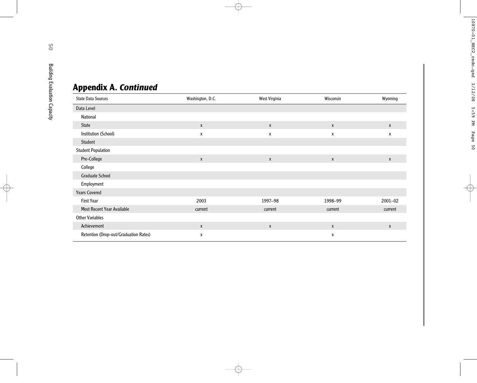# **Appendix A.** *Continued*

| <b>State Data Sources</b>             | Washington, D.C. | West Virginia             | Wisconsin    | Wyoming      |
|---------------------------------------|------------------|---------------------------|--------------|--------------|
| Data Level                            |                  |                           |              |              |
| National                              |                  |                           |              |              |
| <b>State</b>                          | $\mathsf{x}$     | X                         | $\mathsf{x}$ | $\mathsf{x}$ |
| Institution (School)                  | X                | X                         | x            | X            |
| Student                               |                  |                           |              |              |
| <b>Student Population</b>             |                  |                           |              |              |
| Pre-College                           | $\mathsf{X}$     | $\boldsymbol{\mathsf{X}}$ | X            | X            |
| College                               |                  |                           |              |              |
| <b>Graduate School</b>                |                  |                           |              |              |
| Employment                            |                  |                           |              |              |
| <b>Years Covered</b>                  |                  |                           |              |              |
| <b>First Year</b>                     | 2003             | 1997-98                   | 1998-99      | $2001 - 02$  |
| <b>Most Recent Year Available</b>     | current          | current                   | current      | current      |
| <b>Other Variables</b>                |                  |                           |              |              |
| Achievement                           | $\mathsf{x}$     | $\pmb{\chi}$              | X            | X            |
| Retention (Drop-out/Graduation Rates) | X                |                           | X            |              |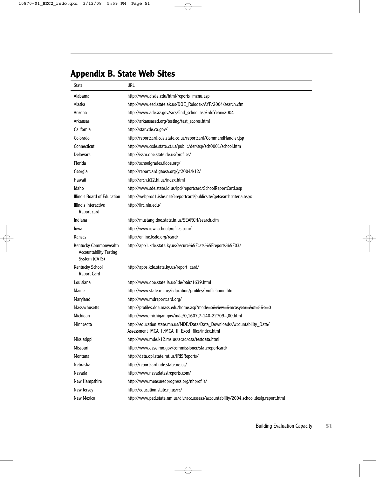# **Appendix B. State Web Sites**

| <b>State</b>                                                            | url                                                                                                                          |  |
|-------------------------------------------------------------------------|------------------------------------------------------------------------------------------------------------------------------|--|
| Alabama                                                                 | http://www.alsde.edu/html/reports_menu.asp                                                                                   |  |
| Alaska                                                                  | http://www.eed.state.ak.us/DOE_Rolodex/AYP/2004/search.cfm                                                                   |  |
| Arizona                                                                 | http://www.ade.az.gov/srcs/find_school.asp?rdoYear=2004                                                                      |  |
| Arkansas                                                                | http://arkansased.org/testing/test_scores.html                                                                               |  |
| California                                                              | http://star.cde.ca.gov/                                                                                                      |  |
| Colorado                                                                | http://reportcard.cde.state.co.us/reportcard/CommandHandler.jsp                                                              |  |
| Connecticut                                                             | http://www.csde.state.ct.us/public/der/ssp/sch0001/school.htm                                                                |  |
| <b>Delaware</b>                                                         | http://issm.doe.state.de.us/profiles/                                                                                        |  |
| Florida                                                                 | http://schoolgrades.fldoe.org/                                                                                               |  |
| Georgia                                                                 | http://reportcard.gaosa.org/yr2004/k12/                                                                                      |  |
| Hawaii                                                                  | http://arch.k12.hi.us/index.html                                                                                             |  |
| Idaho                                                                   | http://www.sde.state.id.us/ipd/reportcard/SchoolReportCard.asp                                                               |  |
| Illinois Board of Education                                             | http://webprod1.isbe.net/ereportcard/publicsite/getsearchcriteria.aspx                                                       |  |
| Illinois Interactive<br>Report card                                     | http://iirc.niu.edu/                                                                                                         |  |
| Indiana                                                                 | http://mustang.doe.state.in.us/SEARCH/search.cfm                                                                             |  |
| Iowa                                                                    | http://www.iowaschoolprofiles.com/                                                                                           |  |
| Kansas                                                                  | http://online.ksde.org/rcard/                                                                                                |  |
| Kentucky Commonwealth<br><b>Accountability Testing</b><br>System (CATS) | http://app1.kde.state.ky.us/secure%5Fcats%5Freports%5F03/                                                                    |  |
| Kentucky School<br><b>Report Card</b>                                   | http://apps.kde.state.ky.us/report_card/                                                                                     |  |
| Louisiana                                                               | http://www.doe.state.la.us/lde/pair/1639.html                                                                                |  |
| <b>Maine</b>                                                            | http://www.state.me.us/education/profiles/profilehome.htm                                                                    |  |
| Maryland                                                                | http://www.mdreportcard.org/                                                                                                 |  |
| <b>Massachusetts</b>                                                    | http://profiles.doe.mass.edu/home.asp?mode=o&view=&mcasyear=&ot=5&o=0                                                        |  |
| Michigan                                                                | http://www.michigan.gov/mde/0,1607,7-140-22709-,00.html                                                                      |  |
| Minnesota                                                               | http://education.state.mn.us/MDE/Data/Data_Downloads/Accountability_Data/<br>Assessment_MCA_II/MCA_II_Excel_files/index.html |  |
| <b>Mississippi</b>                                                      | http://www.mde.k12.ms.us/acad/osa/testdata.html                                                                              |  |
| Missouri                                                                | http://www.dese.mo.gov/commissioner/statereportcard/                                                                         |  |
| Montana                                                                 | http://data.opi.state.mt.us/IRISReports/                                                                                     |  |
| <b>Nebraska</b>                                                         | http://reportcard.nde.state.ne.us/                                                                                           |  |
| Nevada                                                                  | http://www.nevadatestreports.com/                                                                                            |  |
| New Hampshire                                                           | http://www.measuredprogress.org/nhprofile/                                                                                   |  |
| New Jersey                                                              | http://education.state.nj.us/rc/                                                                                             |  |
| <b>New Mexico</b>                                                       | http://www.ped.state.nm.us/div/acc.assess/accountability/2004.school.desig.report.html                                       |  |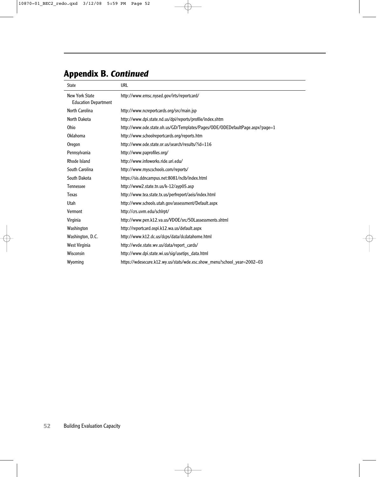# **Appendix B.** *Continued*

| <b>State</b>                                         | <b>URL</b>                                                                   |
|------------------------------------------------------|------------------------------------------------------------------------------|
| <b>New York State</b><br><b>Education Department</b> | http://www.emsc.nysed.gov/irts/reportcard/                                   |
| North Carolina                                       | http://www.ncreportcards.org/src/main.jsp                                    |
| North Dakota                                         | http://www.dpi.state.nd.us/dpi/reports/profile/index.shtm                    |
| Ohio                                                 | http://www.ode.state.oh.us/GD/Templates/Pages/ODE/ODEDefaultPage.aspx?page=1 |
| Oklahoma                                             | http://www.schoolreportcards.org/reports.htm                                 |
| Oregon                                               | http://www.ode.state.or.us/search/results/?id=116                            |
| Pennsylvania                                         | http://www.paprofiles.org/                                                   |
| Rhode Island                                         | http://www.infoworks.ride.uri.edu/                                           |
| South Carolina                                       | http://www.myscschools.com/reports/                                          |
| South Dakota                                         | https://sis.ddncampus.net:8081/nclb/index.html                               |
| <b>Tennessee</b>                                     | http://www2.state.tn.us/k-12/ayp05.asp                                       |
| Texas                                                | http://www.tea.state.tx.us/perfreport/aeis/index.html                        |
| Utah                                                 | http://www.schools.utah.gov/assessment/Default.aspx                          |
| Vermont                                              | http://crs.uvm.edu/schlrpt/                                                  |
| Virginia                                             | http://www.pen.k12.va.us/VDOE/src/SOLassessments.shtml                       |
| Washington                                           | http://reportcard.ospi.k12.wa.us/default.aspx                                |
| Washington, D.C.                                     | http://www.k12.dc.us/dcps/data/dcdatahome.html                               |
| West Virginia                                        | http://wvde.state.wv.us/data/report_cards/                                   |
| Wisconsin                                            | http://www.dpi.state.wi.us/sig/usetips_data.html                             |
| Wyoming                                              | https://wdesecure.k12.wy.us/stats/wde.esc.show_menu?school_year=2002-03      |